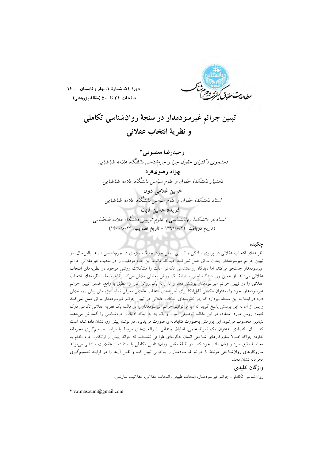

دورهٔ ۵۱، شمارهٔ ۱، بهار و تابستان ۱۴۰۰ صفحات ٢١ تا ٥٠ (مقالة يژوهشي)

تبیین جرائم غیرسودمدار در سنجهٔ روانشناسی تکاملی و نظرية انتخاب عقلاني

و حيدر ضا معصو مي \* دانشجوی د کترای حقوق جزا و جرم شناسی دانشگاه علامه طباطبایی بهزاد رضوىفرد دانشیار دانشکدهٔ حقوق و علوم سیاسی دانشگاه علامه طباطبایی حسين غلامي دون .<br>استاد دانشکدهٔ حقوق و علوم سیاسی دانشگاه علامه طباطبایی فريده حسبن ثابت استادیار دانشکدهٔ روانشناسی و علوم تربیتی دانشگاه علامه طباطبایی (تاريخ دريافت: ١٣٩٩/۶/٢٢ - تاريخ تصويب: ١٤٠٠/١٤/٢٤)

# حكىدە

نظریههای انتخاب عقلانی در پرتوی سادگی و کارایی روش خود، جایگاه ویژهای در جرمشناسی دارند. بااین حال، در تبیین جرائم غیرسودمدار چندان موفق عمل نمیکنند. دیدگاه غالب، این عدم موفقیت را در ماهیت غیرعقلانی جرائم غیرسودمدار جستجو می کند، اما دیدگاه روانشناسی تکاملی علت را مشکلات روشی موجود در نظریههای انتخاب عقلانی می داند. از همین رو، دیدگاه اخیر، با ارائهٔ یک روش تعاملی تلاش میکند نقاط ضعف نظریههای انتخاب عقلانی را در تبیین جرائم غیرسودمدار پوشش دهد و با ارائهٔ یک روش کارا و منطبق با واقع، ضمن تبیین جرائم غیرسودمدار، خود را بهعنوان مکملی قابل|تکا برای نظریههای انتخاب عقلانی معرفی نماید. پژوهش پیش رو، تلاش دارد در ابتدا به این مسئله بپردازد که چرا نظریههای انتخاب عقلانی در تپیین جرائم غیرسودمدار موفق عمل نمیکنند و پس از آن به این پرسش پاسخ گوید که آیا می توانیم جرائم غیرسودمدار را در قالب یک نظریهٔ عقلانی تکاملی درک کنیم؟ روش مورد استفاده در این مقاله، توصیفی است و باتوجه به اینکه ادبیات جرمشناسی را گسترش میدهد. بنیادین محسوب می شود. این پژوهش بهصورت کتابخانهای صورت میپذیرد. در نوشتهٔ پیش رو، نشان داده شده است كه انسان اقتصادى بهعنوان يك نمونة علمي، انطباق چندانى با واقعيتهاى مرتبط با فرايند تصميم گيرى مجرمانه ندارد؛ چراکه اصولاً سازوکارهای شناختی انسان بهگونهای طراحی نشدهاند که بتواند پیش از ارتکاب جرم اقدام به محاسبهٔ دقیق سود و زیان رفتار خود کند. در نقطهٔ مقابل، روانشناسی تکاملی با استفاده از عقلانیت سازشی میتواند سازوکارهای روان شناختی مرتبط با جرائم غیرسودمدار را بهخوبی تبیین کند و نقش آنها را در فرایند تصمیم گیری مجرمانه نشان دهد.

# واژگان کليدې

روانشناسی تکاملی، جرائم غیرسودمدار، انتخاب طبیعی، انتخاب عقلانی، عقلانیت سازشی.

 $*$  v.r.masoumi@gmail.com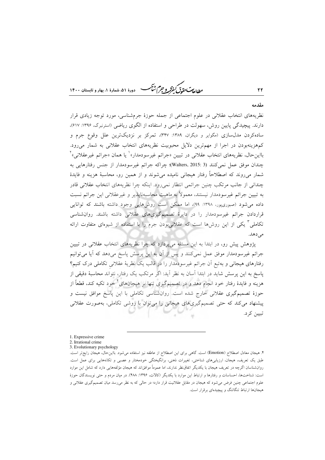طابع تحقاق كنفركه وجراشيم دورهٔ ۵۱، شمارهٔ ۱، بمار و تابستان ۱۴۰۰

# مقدمه

٢٢

نظریههای انتخاب عقلانی در علوم اجتماعی از جمله حوزهٔ جرمشناسی، مورد توجه زیادی قرار دارند. پیچیدگی پایین روش، سهولت در طراحی و استفاده از الگوی ریاضی (استرنبرگ، ۱۳۹۶: ۶۱۷)، سادهکردن مدلسازی (مگوایر و دیگران، ۱۳۸۹: ۳۴۷)، تمرکز بر نزدیکترین علل وقوع جرم و کمهزینهبودن در اجرا از مهمترین دلایل محبوبیت نظریههای انتخاب عقلانی به شمار میرود. بااينحال، نظريههاي انتخاب عقلاني در تبيين «جرائم غيرسودمدار»<sup>\</sup> يا همان «جرائم غيرعقلاني»<sup>٢</sup> چندان موفق عمل نمي كنند (3 :Walters, 2015)؛ چراكه جرائم غيرسودمدار از جنس رفتارهايي به شمار میروند که اصطلاحاً رفتار هیجانی نامیده میشوند و از همین رو، محاسبهٔ هزینه و فایدهٔ چندانی از جانب مرتکب چنین جرائمی انتظار نمی رود. اینکه چرا نظریههای انتخاب عقلانی قادر به تبیین جرائم غیرسودمدار نیستند، معمولاً به ماهیت محاسبهنایذیر و غیرعقلانی این جرائم نسبت داده میشود (صبوریپور، ۱۳۹۸: ۹۹)، اما ممکن است روشهایی وجود داشته باشند که توانایی قراردادن جرائم غیرسودمدار را در دایرهٔ تصمیمگیریهای عقلانی داشته باشند. روانشناسی تکاملی آ یکی از این روش۵ا است که عقلانی بودن جرم را با استفاده از شیوهای متفاوت ارائه مى دهد.

پژوهش پیش رو، در ابتدا به این مسئله میپردازد که چرا نظریههای انتخاب عقلانی در تبیین جرائم غیرسودمدار موفق عمل نمیکنند و پس از آن به این پرسش پاسخ میدهد که آیا میتوانیم رفتارهای هیجانی و بهتبع اّن جرائم غیرسودمدار را در قالب یک نظریهٔ عقلانی تکاملی درک کنیم؟ یاسخ به این پرسش شاید در ابتدا آسان به نظر آید: اگر مرتکب یک رفتار، نتواند محاسبهٔ دقیقی از هزینه و فایدهٔ رفتار خود انجام دهد و در تصمیمگیری تنها بر هیجانهای ٔ خود تکیه کند، قطعاً از حوزهٔ تصمیمگیری عقلانی خارج شده است. روانشناسی تکاملی با این پاسخ موافق نیست و پیشنهاد می کند که حتی تصمیمگیریهای هیجانی را می توان با روشی تکاملی، بهصورت عقلانی تبيين كرد.

1. Expressive crime

3. Evolutionary psychology

<sup>2.</sup> Irrational crime

۴. هیجان معادل اصطلاح (Emotion) است. گاهی برای این اصطلاح از عاطفه نیز استفاده میشود. بااین حال، هیجان رایجتر است. طبق یک تعریف، هیجان، ارزیابیهای شناختی، تغییرات ذهنی، برانگیختگی خودمختار و عصبی و تکانههایی برای عمل است. روان شناسان اگرچه در تعریف هیجان با یکدیگر اتفاق نظر ندارند، اما عموماً موافقاند که هیجان مؤلفههایی دارد که شامل این موارد است: شناختها، احساسات و رفتارها و ارتباط این موارد با یکدیگر (کالات، ۱۳۹۶: ۴۸۸). در میان مردم و حتی نویسندگان حوزهٔ علوم اجتماعی چنین فرض می شود که هیجان در مقابل عقلانیت قرار دارد؛ در حالی که به نظر می رسد میان تصمیم گیری عقلانی و هیجانها ارتباط تنگاتنگ و پیچیدهای برقرار است.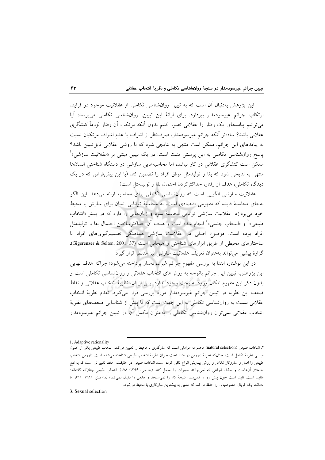این پژوهش بهدنبال آن است که به تبیین روانشناسی تکاملی از عقلانیت موجود در فرایند ارتکاب جرائم غیرسودمدار بپردازد. برای ارائهٔ این تبیین، روانشناسی تکاملی میپرسد: آیا می توانیم پیامدهای یک رفتار را عقلانی تصور کنیم بدون آنکه مرتکب آن رفتار لزوماً کنشگری عقلاني باشد؟ سادهتر أنكه جرائم غيرسودمدار، صرف نظر از اشراف يا عدم اشراف مرتكبان نسبت به پیامدهای این جرائم، ممکن است منتهی به نتایجی شود که با روشی عقلانی قابل تبیین باشد؟ پاسخ روانشناسی تکاملی به این پرسش مثبت است: در یک تبیین مبتنی بر «عقلانیت سازش<sub>ه،</sub>»<sup>۱</sup> ممکن است کنشگری عقلانی در کار نباشد، اما محاسبههایی سازشی در دستگاه شناختی انسانها منتهی به نتایجی شود که بقا و تولیدمثل موفق افراد را تضمین کند (با این پیشفرض که در یک ديدگاه تكاملي، هدف از رفتار، حداكثركردن احتمال بقا و توليدمثل است).

عقلانیت سازشی الگویی است که روانشناسی تکاملی برای محاسبه ارائه میدهد. این الگو بهجای محاسبهٔ فایده که مفهومی اقتصادی است، به محاسبهٔ توانایی انسان برای سازش با محیط خود می یردازد. عقلانیت سازشی توانایی محاسبهٔ سود و زیانهایی را دارد که در بستر «انتخاب طبیعی»<sup>۲</sup> و «انتخاب جنسی»<sup>۳</sup> انجام شده است و هدف آن حداکثرساختن احتمال بقا و تولیدمثل افراد بوده است. موضوع اصلی در عقلانیت سازشی هماهنگی تصمیمگیریهای افراد با ساختارهای محیطی از طریق ابزارهای شناختی و هیجانی است (Gigerenzer & Selten, 2001: 37). گزارهٔ پیشین میتواند بهعنوان تعریف عقلانیت سازشی نیز مدنظر قرار گیرد.

در این نوشتار، ابتدا به بررسی مفهوم جرائم غیرسودمدار پرداخته میشود؛ چراکه هدف نهایی این پژوهش، تبیین این جرائم باتوجه به روشهای انتخاب عقلانی و روانشناسی تکاملی است و بدون ذكر اين مفهوم امكان ورود به بحث وجود ندارد. پس از آن، نظريهٔ انتخاب عقلانی و نقاط ضعف این نظریه در تبیین جرائم غیرسودمدار مورد بررسی قرار میگیرد. تقدم نظریهٔ انتخاب عقلانی نسبت به روانشناسی تکاملی به این جهت است که تا پیش از شناسایی ضعفهای نظریهٔ انتخاب عقلانی نمیتوان روانشناسی تکاملی را بهعنوان مکمل آن در تبیین جرائم غیرسودمدار

3. Sexual selection

<sup>1.</sup> Adaptive rationality

۲. انتخاب طبیعی (natural selection) مجموعه عواملی است که سازگاری با محیط را تعیین میکند. انتخاب طبیعی یکی از اصول مبنايي نظرية تكامل است؛ چنانكه نظرية داروين در ابتدا تحت عنوان نظرية انتخاب طبيعي شناخته مي شده است. داروين انتخاب طبیعی را اصل و سازوکار تکامل و روش پیدایش انواع تلقی کرده است. انتخاب طبیعی در حقیقت، حفظ تغییراتی است که به نفع حاملان آنهاست و حذف انواعی که نمیٍتوانند تغییرات را تحمل کنند (خاتمی، ۱۳۹۶: ۱۷۸). انتخاب طبیعی چنانکه گفتهاند: «نابینا است. نابینا است چون پیش رو را نمیبیند؛ نتیجهٔ کار را نمی سنجد و هدفی را دنبال نمی کند» (داوکینز، ۱۳۸۹: ۳۹)، اما بهمانند یک غربال خصوصیاتی را حفظ میکند که منتهی به بیشترین سازگاری با محیط میشود.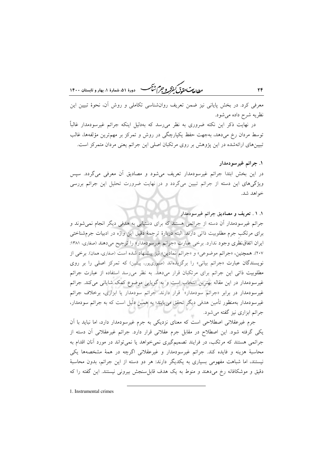ر العاصر التي تحقيق كنقر و جرم شنگ مستخدم داده، شعارهٔ ۱، بهار و تابستان ۱۴۰۰

معرفی کرد. در بخش پایانی نیز ضمن تعریف روانشناسی تکاملی و روش آن، نحوهٔ تبیین این نظریه شرح داده می شود.

در نهایت ذکر این نکته ضروری به نظر میرسد که بهدلیل اینکه جرائم غیرسودمدار غالباً توسط مردان رخ میدهد، بهجهت حفظ یکپارچگی در روش و تمرکز بر مهمترین مؤلفهها، غالب تبیینهای ارائهشده در این پژوهش بر روی مرتکبان اصلی این جرائم یعنی مردان متمرکز است.

۱. جرائم غيرسودمدار

٢۴

در این بخش ابتدا جرائم غیرسودمدار تعریف میشود و مصادیق آن معرفی میگردد. سپس ویژگیهای این دسته از جرائم تبیین میگردد و در نهایت ضرورت تحلیل این جرائم بررسی خواهد شد.

١. ١ . تعريف و مصاديق جرائم غيرسودمدار جرائم غیرسودمدار اَن دسته از جرائمی هستند که برای دستیابی به هدفی دیگر انجام نمیشوند و برای مرتکب جرم مطلوبیت ذاتی دارند. البته دربارهٔ ترجمهٔ دقیق این واژه در ادبیات جرمشناختی ایران اتفاقنظری وجود ندارد. برخی عبارت «جرائم غیرسودمدار» را ترجیح میدهند (صفاری، ۱۳۸۱: ۲۰۷). همچنین، «جرائم موضوعی» و «جرائم نمادین» نیز پیشنهاد شده است (صفاری، همان). برخی از نویسندگان عبارت «جرائم بیانی» را برگزیدهاند (صبوریپور، پیشین) که تمرکز اصلی را بر روی مطلوبیت ذاتی این جرائم برای مرتکبان قرار میدهد. به نظر می رسد استفاده از عبارت جرائم غیرسودمدار در این مقاله بهترین انتخاب است و به گویایی موضوع کمک شایانی میکند. جرائم غیرسودمدار در برابر «جرائم سودمدار»<sup>۱</sup> قرار دارند. جرائم سودمدار یا ابزاری، برخلاف جرائم غیرسودمدار بهمنظور تأمین هدفی دیگر تحقق می،یابند؛ به همین دلیل است که به جرائم سودمدار، جرائم ابزاری نیز گفته می شود.

جرم غیرعقلانی اصطلاحی است که معنای نزدیکی به جرم غیرسودمدار دارد، اما نباید با آن یکی گرفته شود. این اصطلاح در مقابل جرم عقلانی قرار دارد. جرائم غیرعقلانی آن دسته از جرائمی هستند که مرتکب، در فرایند تصمیمگیری نمی خواهد یا نمی تواند در مورد آنان اقدام به محاسبهٔ هزینه و فایده کند. جرائم غیرسودمدار و غیرعقلانی اگرچه در همهٔ مشخصهها یکی نیستند، اما شباهت مفهومی بسیاری به یکدیگر دارند: هر دو دسته از این جرائم، بدون محاسبهٔ دقیق و موشکافانه رخ میدهند و منوط به یک هدف قابلِسنجش بیرونی نیستند. این گفته را که

1. Instrumental crimes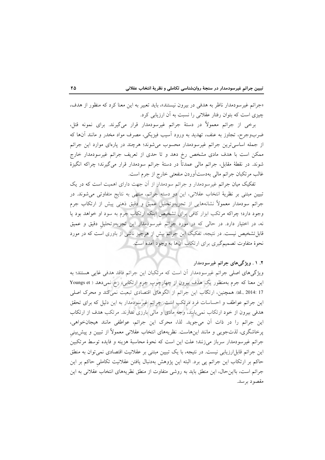«جرائم غیر سودمدار ناظر به هدفی در بیرون نیستند»، باید تعبیر به این معنا کرد که منظور از هدف، چیزی است که بتوان رفتار عقلانی را نسبت به آن ارزیابی کرد.

برخی از جرائم معمولاً در دستهٔ جرائم غیرسودمدار قرار میگیرند. برای نمونه قتل، ضربوجرح، تجاوز به عنف، تهدید به ورود اَسیب فیزیکی، مصرف مواد مخدر و مانند اَنها که از جمله اساسیترین جرائم غیرسودمدار محسوب میشوند؛ هرچند در پارهای موارد این جرائم ممکن است با هدف مادی مشخص رخ دهد و تا حدی از تعریف جرائم غیرسودمدار خارج شوند. در نقطهٔ مقابل، جرائم مالی عمدتاً در دستهٔ جرائم سودمدار قرار میگیرند؛ چراکه انگیزهٔ غالب مرتکبان جرائم مالی بهدستآوردن منفعتی خارج از جرم است.

تفکیک میان جرائم غیرسودمدار و جرائم سودمدارا از آن جهت دارای اهمیت است که در یک تبیین مبتنی بر نظریهٔ انتخاب عقلانی، این دو دسته جرائم، منتهی به نتایج متفاوتی می شوند. در جرائم سودمدار معمولاً نشانههایی از تجزیهوتحلیل عمیق و دقیق ذهنی پیش از ارتکاب جرم وجود دارد؛ چراکه مرتکب ابزار کافی برای تشخیص اینکه ارتکاب جرم به سود او خواهد بود یا نه، در اختیار دارد. در حالی که در مورد جرائم غیرسودمدار این تجزیهوتحلیل دقیق و عمیق قابلتشخیص نیست. در نتیجه، تفکیک این جرائم بیش از هرچیز ناشی از باوری است که در مورد نحوهٔ متفاوت تصمیمگیری برای ارتکاب آنها به وجود آمده است.

# ۲. ۱ . ویژگیهای جرائم غیرسودمدار

ویژگیهای اصلی جرائم غیرسودمدار آن است که مرتکبان این جرائم فاقد هدفی غایی هستند؛ به این معنا که جرم بهمنظور یک هدف بیرون از چهارچوب جرم ارتکابی، رخ نمیدهد ( Youngs et al., 2014: 17). همچنین، ارتکاب این جرائم از الگوهای اقتصادی تبعیت نمی کند و محرک اصلی این جرائم عواطف و احساسات فرد مرتکب است. جرائم غیرسودمدار به این دلیل که برای تحقق هدفی بیرون از خود ارتکاب نمی یابند، وجه مادی و مالی بارزی ندارند. مرتکب هدف از ارتکاب این جرائم را در ذات آن میجوید. لذا، محرک این جرائم، عواطفی مانند هیجانخواهی، پرخاشگری، لذتجویی و مانند اینهاست. نظریههای انتخاب عقلانی معمولاً از تبیین و پیش بینی جرائم غيرسودمدار سرباز مىزنند؛ علت اين است كه نحوهٔ محاسبهٔ هزينه و فايده توسط مرتكبين این جرائم قابل[رزیابی نیست. در نتیجه، با یک تبیین مبتنی بر عقلانیت اقتصادی نمی توان به منطق حاکم بر ارتکاب این جرائم پی برد. البته این پژوهش بهدنبال یافتن عقلانیت تکاملی حاکم بر این جرائم است، بااین حال، این منطق باید به روشی متفاوت از منطق نظریههای انتخاب عقلانی به این مقصود برسد.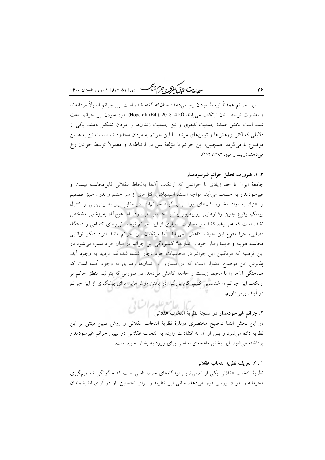ر ...<br>روان**دس حقدتی کنفرکر و جرم شنگ** هنده ۵۱، شهادهٔ ۱، بعاد و قابستان ۱۴۰۰

این جرائم عمدتاً توسط مردان رخ میدهد؛ چنانکه گفته شده است این جرائم اصولاً مردانهاند و بهندرت توسط زنان ارتكاب مي يابند (410: Hopcroft (Ed.), 2018). مردانهبودن اين جرائم باعث شده است بخش عمدهٔ جمعیت کیفری و نیز جمعیت زندانها را مردان تشکیل دهند. یکی از دلایلی که اکثر پژوهشها و تبیینهای مرتبط با این جرائم به مردان محدود شده است نیز به همین موضوع بازمیگردد. همچنین، این جرائم با مؤلفهٔ سن در ارتباطاند و معمولاً توسط جوانان رخ مے دهند (وات و هینز، ۱۳۹۲: ۱۶۲).

#### ۳. ۱. ضرورت تحلیل جرائم غیرسودمدار

جامعهٔ ایران تا حد زیادی با جرائمی که ارتکاب آنها بهلحاظ عقلانی قابل محاسبه نیست و غیر سودمدار به حساب می آید، مواجه است. اسیدپاشی، قتلهای از سر خشم و بدون سبق تصمیم و اعتیاد به مواد مخدر، مثالهای روشن اینگونه جرائماند. در مقابل نیاز به پیش بینی و کنترل ریسکِ وقوع چنین رفتارهایی روزبهروز بیشتر احساس میشود، اما هیچگاه بهروشنی مشخص نشده است که علی رغم کشف و مجازات بسیاری از این جرائم توسط نیروهای انتظامی و دستگاه قضایی، چرا وقوع این جرائم کاهش نمییابد. آیا مرتکبان این جرائم مانند افراد دیگر توانایی محاسبهٔ هزینه و فایدهٔ رفتار خود را ندارند؟ گستردگی این جرائم در میان افراد سبب میشود در این فرضیه که مرتکبین این جرائم در محاسبات خود دچار اشتباه شدهاند، تردید به وجود آید. پذیرش این موضوع دشوار است که در بسیاری از انسانها رفتاری به وجود آمده است که هماهنگی آنها را با محیط زیست و جامعه کاهش میدهد. در صورتی که بتوانیم منطق حاکم بر ارتکاب این جرائم را شناسایی کنیم، گام بزرگی در یافتن روش۵ایی برای پیشگیری از این جرائم در آینده برمیداریم.

# ۲. جرائم غیرسودمدار در سنجهٔ نظریهٔ انتخاب عقلان<sub>ی</sub> مجمل استفار<br>۲. جرائم غیرسودمدار در سنجهٔ نظریهٔ انتخاب عقلان*ی*

در این بخش ابتدا توضیح مختصری دربارهٔ نظریهٔ انتخاب عقلانی و روش تبیین مبتنی بر این نظریه داده می شود و پس از آن به انتقادات وارده به انتخاب عقلانی در تبیین جرائم غیرسودمدار یرداخته می شود. این بخش مقدمهای اساسی برای ورود به بخش سوم است.

#### ١ . ٢. تعريف نظرية انتخاب عقلاني

نظریهٔ انتخاب عقلانی یکی از اصلی ترین دیدگاههای جرمشناسی است که چگونگی تصمیمگیری مجرمانه را مورد بررسی قرار میدهد. مبانی این نظریه را برای نخستین بار در أرای اندیشمندان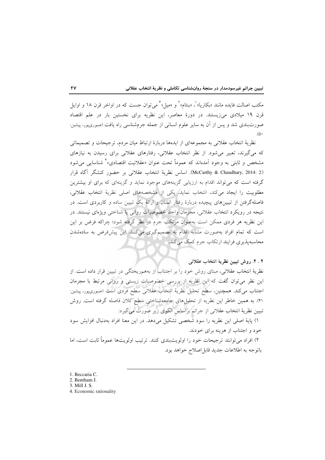مکتب اصالت فایده مانند «بکاریا» ْ، «بنتام» ْ و «میل» ْ می توان جست که در اواخر قرن ۱۸ و اوایل قرن ١٩ ميلادي ميiيستند. در دورهٔ معاصر، اين نظريه براي نخستين بار در علم اقتصاد صورتبندی شد و پس از آن به سایر علوم انسانی از جمله جرمشناسی راه یافت (صبوریپور، پیشین:  $(\triangle)$ 

نظریهٔ انتخاب عقلانی به مجموعهای از ایدهها دربارهٔ ارتباط میان مردم، ترجیحات و تصمیماتی که می گیرند، تعبیر می شود. از نظر انتخاب عقلانی، رفتارهای عقلانی برای رسیدن به نیازهای مشخص و ثابتی به وجود آمدهاند که عموماً تحت عنوان «عقلانیت اقتصادی»<sup>۲</sup> شناسایی می شود (McCarthy & Chaudhary, 2014: 2). اساس نظرية انتخاب عقلاني بر حضور كنشگر آگاه قرار گرفته است که می تواند اقدام به ارزیابی گزینههای موجود نماید و گزینهای که برای او بیشترین مطلوبیت را ایجاد میکند، انتخاب نماید. یکی از مشخصههای اصلی نظریهٔ انتخاب عقلانی، فاصلهگرفتن از تبیینهای پیچیده دربارهٔ رفتار انسان و ارائهٔ یک تبیین ساده و کاربردی است. در نتيجه در رويكرد انتخاب عقلاني، مجرمان واجد خصوصيات رواني يا شناختي ويژهاي نيستند. در این نظریه هر فردی ممکن است بهعنوان مرتکب جرم در نظر گرفته شود؛ چراکه فرض بر این است که تمام افراد بهصورت مشابه اقدام به تصمیمگیری میکنند. این پیش فرض به سادهشدن محاسبهپذیری فرایند ارتکاب جرم کمک می کند.

٢ . ٢. روش تبيين نظرية انتخاب عقلاني

نظریهٔ انتخاب عقلانی، مبنای روش خود را بر اجتناب از بههمریختگی در تبیین قرار داده است. از این نظر میتوان گفت که این نظریه از بررسی خصوصیات زیستی و روانی مرتبط با مجرمان اجتناب میکند. همچنین، سطح تحلیل نظریهٔ انتخاب عقلانی سطح فردی است (صبوری،پور، پیشین: ۴۱). به همین خاطر این نظریه از تحلیلهای جامعهشناختی سطح کلان فاصله گرفته است. روش تبيين نظرية انتخاب عقلاني از جرائم براساس الگوي زير صورت مي گيرد:

١) پایهٔ اصلی این نظریه را سود شخصی تشکیل می دهد. در این معنا افراد بهدنبال افزایش سود خود و اجتناب از هزینه برای خودند.

۲) افراد میتوانند ترجیحات خود را اولویتبندی کنند. ترتیب اولویتها عموماً ثابت است، اما باتوجه به اطلاعات جديد قابل اصلاح خواهد بود.

- 1. Beccaria C.
- 2. Bentham J.
- 3. Mill J. S.
- 4. Economic rationality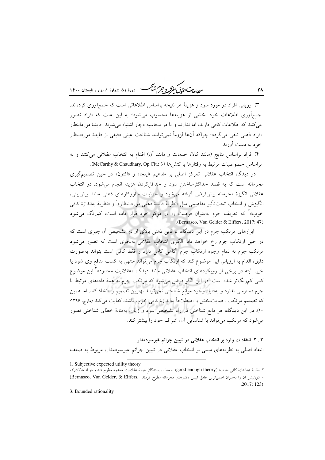ر ...<br>ر<u>طال</u>ه مستق<del>ل گفتگر و جرم شنگ می</del> دورهٔ ۵۱، شمارهٔ ۱، بهار و تابستان ۱۴۰۰

۳) ارزیابی افراد در مورد سود و هزینهٔ هر نتیجه براساس اطلاعاتی است که جمع[وری کردهاند. جمع آوری اطلاعات خود بخشی از هزینهها محسوب می شود؛ به این علت که افراد تصور می کنند که اطلاعات کافی دارند، اما ندارند و یا در محاسبه دچار اشتباه می شوند. فایدهٔ موردانتظار افراد ذهني تلقى مى گردد؛ چراكه آنها لزوماً نمى توانند شناخت عينى دقيقى از فايدهٔ موردانتظار خود به دست آورند.

۴) افراد براساس نتايج (مانند كالا، خدمات و مانند آن) اقدام به انتخاب عقلانی می كنند و نه براساس خصوصيات مرتبط به رفتارها يا كنش ها (McCarthy & Chaudhary, Op.Cit.: 3).

در دیدگاه انتخاب عقلانی تمرکز اصلی بر مفاهیم «اینجا» و «اکنون» در حین تصمیمگیری مجرمانه است که به قصد حداکثرساختن سود و حداقل کردن هزینه انجام می شود. در انتخاب عقلانی انگیزهٔ مجرمانه پیشفرر گرفته می شود و جزئیات سازوکارهای ذهنی مانند پیش بینی، انگيزش و انتخاب تحت تأثير مفاهيمي مثل «نظريهٔ فايدهٔ ذهني موردانتظار» و «نظريهٔ بهاندازهٔ کافي خوب»<sup>۲</sup> که تعریف جرم بهعنوان فرصت را در مرکز خود قرار داده است، کمرنگ میشود (Bernasco, Van Gelder & Elffers, 2017: 47)

ابزارهای مرتکب جرم در این دیدگاه، توانایی ذهنی بالای او در تشخیص آن چیزی است که در حین ارتکاب جرم رخ خواهد داد. الگوی انتخاب عقلانی بهنحوی است که تصور میشود مرتکب جرم به تمام وجوه ارتکاب جرم آگاهی کامل دارد و فقط کافی است بتواند بهصورت دقیق، اقدام به ارزیابی این موضوع کند که ارتکاب جرم میتواند منتهی به کسب منافع وی شود یا خیر ِ البته در برخی از رویکردهای انتخاب عقلانی مانند دیدگاه «عقلانیت محدود» این موضوع کمی کمرنگ تر شده است. در این الگو فرض می شود که مرتکب جرم به همهٔ دادههای مرتبط با جرم دسترسی ندارد و بهدلیل وجود موانع شناختی نمی تواند بهترین تصمیم را اتخاذ کند، اما همین که تصمیم مرتکب رضایتبخش و اصطلاحاً بهاندازهٔ کافی خوب باشد، کفایت میکند (مارچ، ۱۳۹۶: ۲۰). در این دیدگاه، هر مانع شناختی در راه تشخیص سود و زیان، بهمثابهٔ خطای شناختی تصور می شود که مرتکب می تواند با شناسایی آن، اشراف خود را بیشتر کند.

۰. ۳. انتقادات وارد بر انتخاب عقلانی در تبیین جرائم غیرسودمدار انتقاد اصلی به نظریههای مبتنی بر انتخاب عقلانی در تبیین جرائم غیرسودمدار، مربوط به ضعف

3. Bounded rationality

٢٨

<sup>1.</sup> Subjective expected utility theory

۲. نظریهٔ «بهاندازهٔ کافی خوب» (good enough theory) توسط نویسندگان حوزهٔ عقلانیت محدود مطرح شد و در ادامه *کلارک* وكورنيش أن را به عنوان اصلي ترين عامل تبيين رفتارهاى مجرمانه مطرح كردند . (Bernasco, Van Gelder, & Elffers)  $.2017:123)$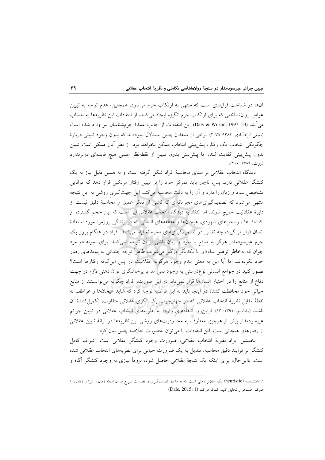آنها در شناخت فرایندی است که منتهی به ارتکاب جرم میشود. همچنین، عدم توجه به تبیین عوامل روانشناختی که برای ارتکاب جرم انگیزه ایجاد میکنند، از انتقادات این نظریهها به حساب مي]يند (Daly & Wilson, 1997: 53). اين انتقادات از جانب عمدهٔ جرمشناسان نيز وارد شده است (نجفی ابرندآبادی، ۱۳۸۴: ۲۰۷۵). برخی از منتقدان چنین استدلال نمودهاند که بدون وجود تبیینی دربارهٔ چگونگی انتخاب یک رفتار، پیش بینی انتخاب ممکن نخواهد بود. از نظر آنان ممکن است تبیین بدون پیشبینی کفایت کند، اما پیشبینی بدون تبیین از نقطهنظر علمی هیچ فایدهای دربرندارد (روت، ۱۳۸۹: ۲۰۰).

دیدگاه انتخاب عقلانی بر مبنای محاسبهٔ افراد شکل گرفته است و به همین دلیل نیاز به یک کنشگر عقلانی دارد. پس، ناچار باید تمرکز خود را بر تبیین رفتار مرتکبی قرار دهد که توانایی تشخیص سود و زیان را دارد و آن را به دقت محاسبه میکند. این جهتگیری روشی به این نتیجه منتهی می شود که تصمیمگیریهای مجرمانهای که ناشی از تفکر عمیق و محاسبهٔ دقیق نیست از دایرهٔ عقلانیت خارج شوند. اما انتقاد به دیدگاه انتخاب عقلانی این است که این حجم گسترده از اکتشافها'، راهحلهای شهودی، هیجانها و عاطفههای انسانی که در زندگی روزمره مورد استفادهٔ انسان قرار می گیرد، چه نقشی در تصمیمگیریهای مجرمانه ایفا میکنند. افراد در هنگام بروز یک جرم غیرسودمدار هرگز به منافع یا سود و زیان ناشی از آن توجه نمیکنند. برای نمونه دو مرد جوان که بهخاطر توهین سادهای با یکدیگر درگیر میشوند، ظاهراً توجه چندانی به پیامدهای رفتار خود نكردهاند. اما آيا اين به معنى عدم وجود هرگونه عقلانيت در پس اين گونه رفتارها است؟ تصور کنید در جوامع انسانی نوعٖدوستی به وجود نمی]مد یا پرخاشگری توان ذهنی لازم در جهت دفاع از منابع را در اختیار انسانها قرار نمیداد. در این صورت، افراد چگونه میتوانستند از منابع حیاتی خود محافظت کنند؟ در اینجا باید به این فرضیه توجه کرد که شاید هیجانها و عواطف نه نقطهٔ مقابل نظریهٔ انتخاب عقلانی که در چهارچوب یک الگوی عقلانی متفاوت، تکمیل کنندهٔ اَن باشند (داماسیو، ۱۳۹۱: ۱۳). ازاین رو، انتقادهای وارده به نظریههای انتخاب عقلانی در تبیین جرائم غیرسودمدار بیش از هرچیز، معطوف به محدودیتهای روشی این نظریهها در ارائهٔ تبیین عقلانی از رفتارهای هیجانی است. این انتقادات را می توان بهصورت خلاصه چنین بیان کرد:

نخستين ايراد نظرية انتخاب عقلاني، ضرورت وجود كنشگر عقلاني است. اشراف كامل کنشگر بر فرایند دقیق محاسبه، تبدیل به یک ضرورت حیاتی برای نظریههای انتخاب عقلانی شده است. بااین حال، برای اینکه یک نتیجهٔ عقلانی حاصل شود، لزوماً نیازی به وجود کنشگر آگاه و

۱. «اکتشاف» (heuristic) یک میانبر ذهنی است که به ما در تصمیمگیری و قضاوت سریع بدون اینکه زمان و انرژی زیادی را صرف جستجو و تحليل كنيم، كمك مي كند (Dale, 2015: 1).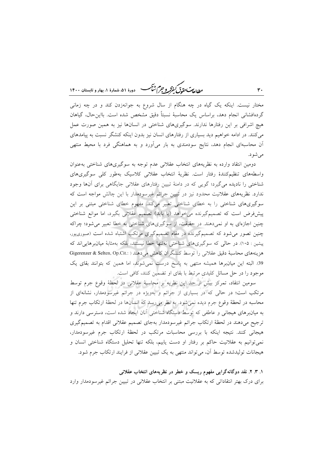ر ...<br>بطالعات تقد*ق گفتر و جهم شنگ* هودهٔ ۵۱، شعارهٔ ۱، بهار و تابستان ۱۴۰۰

مختار نیست. اینکه یک گیاه در چه هنگام از سال شروع به جوانهزدن کند و در چه زمانی گردهافشانی انجام دهد، براساس یک محاسبهٔ نسبتاً دقیق مشخص شده است. بااین حال، گیاهان هیچ اشرافی بر این رفتارها ندارند. سوگیریهای شناختی در انسانها نیز به همین صورت عمل میکنند. در ادامه خواهیم دید بسیاری از رفتارهای انسان نیز بدون اینکه کنشگر نسبت به پیامدهای آن محاسبهای انجام دهد، نتایج سودمندی به بار میآورد و به هماهنگی فرد با محیط منتهی می شو د.

دومین انتقاد وارده به نظریههای انتخاب عقلانی عدم توجه به سوگیریهای شناختی بهعنوان واسطههای تنظیم کنندهٔ رفتار است. نظریهٔ انتخاب عقلانی کلاسیک بهطور کلی سوگیریهای شناختی را نادیده می گیرد؛ گویی که در دامنهٔ تبیین رفتارهای عقلانی جایگاهی برای آنها وجود ندارد. نظریههای عقلانیت محدود نیز در تبیین جرائم غیرسودمدار با این چالش مواجه است که سوگیریهای شناختی را به خطای شناختی تعبیر میکند. مفهوم خطای شناختی مبتنی بر این پیشفررض است که تصمیمگیرنده می خواهد (یا باید) تصمیم عقلانی بگیرد، اما موانع شناختی چنین اجازهای به او نمیدهند. در حقیقت، از سوگیریهای شناختی به خطا تعبیر می شود؛ چراکه چنین تصور می شود که تصمیمگیرنده در مقام تصمیمگیری مرتکب اشتباه شده است (صبوریپور، پیشین : ۱۰۵). در حالی که سوگیریهای شناختی نهتنها خطا نیستند، بلکه بهمثابهٔ میانبرهایی اند که هزینههای محاسبهٔ دقیق عقلانی را توسط کنشگران کاهش میدهند ( :Gigerenzer & Selten, Op.Cit 39. البته این میانبرها همیشه منتهی به پاسخ درست نمیشوند، اما همین که بتوانند بقای یک موجود را در حل مسائل کلیدی مرتبط با بقای او تضمین کنند، کافی است.

سومین انتقاد، تمرکز بیش از حد این نظریه بر محاسبهٔ عقلانی در لحظهٔ وقوع جرم توسط مرتکب است؛ در حالی که در بسیاری از جرائم و بهویژه در جرائم غیرسودمدار، نشانهای از محاسبه در لحظهٔ وقوع جرم دیده نمیشود. به نظر میرسد که انسانها در لحظهٔ ارتکاب جرم تنها به میانبرهای هیجانی و عاطفی که توسط دستگاه شناختی آنان ایجاد شده است، دسترسی دارند و ترجيح مي دهند در لحظهٔ ارتکاب جرائم غيرسودمدار بهجاي تصميم عقلاني اقدام به تصميم گيري هیجانی کنند. نتیجه اینکه با بررسی محاسبات مرتکب در لحظهٔ ارتکاب جرم غیرسودمدار، نمی توانیم به عقلانیت حاکم بر رفتار او دست یابیم، بلکه تنها تحلیل دستگاه شناختی انسان و هیجانات تولیدشده توسط آن، می تواند منتهی به یک تبیین عقلانی از فرایند ارتکاب جرم شود.

۱. ۳. ۲. نقد دوگانهگرایی مفهوم ریسک و خطر در نظریههای انتخاب عقلانی برای درک بهتر انتقاداتی که به عقلانیت مبتنی بر انتخاب عقلانی در تبیین جرائم غیرسودمدار وارد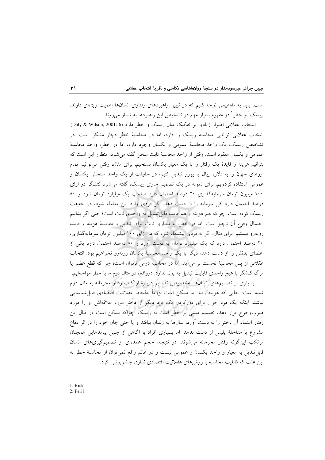است، باید به مفاهیمی توجه کنیم که در تبیین راهبردهای رفتاری انسانها اهمیت ویژهای دارند. ریسک ٰ و خطر ٗ دو مفهوم بسیار مهم در تشخیص این راهبردها به شمار میروند.

انتخاب عقلانی اصرار زیادی بر تفکیک میان ریسک و خطر دارد (Daly & Wilson, 2001: 6). انتخاب عقلانی توانایی محاسبهٔ ریسک را دارد، اما در محاسبهٔ خطر دچار مشکل است. در تشخیص ریسک، یک واحد محاسبهٔ عمومی و یکسان وجود دارد، اما در خطر، واحد محاسبهٔ عمومی و یکسان مفقود است. وقتی از واحد محاسبهٔ ثابت سخن گفته می شود، منظور این است که بتوانیم هزینه و فایدهٔ یک رفتار را با یک معیار یکسان بسنجیم. برای مثال، وقتی می توانیم تمام ارزهای جهان را به دلار، ریال یا یورو تبدیل کنیم، در حقیقت از یک واحد سنجش یکسان و عمومی استفاده کردهایم. برای نمونه در یک تصمیم حاوی ریسک، گفته می شود کنشگر در ازای ۱۰۰ میلیون تومان سرمایهگذاری ۲۰ درصد احتمال دارد صاحب یک میلیارد تومان شود و ۸۰ درصد احتمال دارد کل سرمایه را از دست دهد. اگر فردی وارد این معامله شود، در حقیقت ريسک کرده است. چراکه هم هزينه و هم فايده قابل تبديل به واحدي ثابت است؛ حتى اگر بدانيم احتمال وقوع آن ناچیز است. اما در خطر، با معیاری ثابت برای تبدیل و مقایسهٔ هزینه و فایده روبهرو نیستیم. برای مثال، اگر به فردی پیشنهاد شود که در ازای ۱۰۰ میلیون تومان سرمایهگذاری، ۲۰ درصد احتمال دارد که یک میلیارد تومان به دست آورد و ۸۰ درصد احتمال دارد یکی از اعضای بدنش را از دست دهد، دیگر با یک واحد محاسبهٔ یکسان روبهرو نخواهیم بود. انتخاب عقلانی از پس محاسبهٔ نخست بر میآید، اما در محاسبه دومی ناتوان است؛ چرا که قطع عضو یا مرگ کنشگر با هیچ واحدی قابلیت تبدیل به پول ندارد. درواقع، در مثال دوم ما با خطر مواجهایم. بسیاری از تصمیمهای انسانها بهخصوص تصمیم دربارهٔ ارتکاب رفتار مجرمانه به مثال دوم

شبیه است؛ جایی که هزینهٔ رفتار ما ممکن است لزوماً بهلحاظ عقلانیت اقتصادی قابلشناسایی نباشد. اینکه یک مرد جوان برای دورکردن یک مرد دیگر از دختر مورد علاقهاش او را مورد ضربوجرح قرار دهد، تصمیم مبتنی بر خطر است نه ریسک. چراکه ممکن است در قبال این رفتار اعتماد آن دختر را به دست آورد، سال&ا به زندان بیافتد و یا حتبی جان خود را در اثر دفاع مشروع یا مداخلهٔ پلیس از دست بدهد. اما بسیاری افراد با آگاهی از چنین پیامدهایی همچنان مرتکب اینگونه رفتار مجرمانه میشوند. در نتیجه، حجم عمدهای از تصمیمگیریهای انسان قابل تبدیل به معیار و واحد یکسان و عمومی نیست و در عالم واقع نمی توان از محاسبهٔ خطر به این علت که قابلیت محاسبه با روشهای عقلانیت اقتصادی ندارد، چشمپوشی کرد.

1. Risk 2. Peril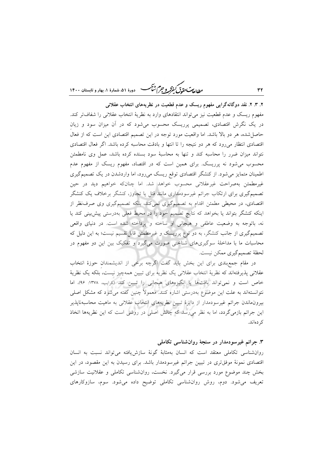دورهٔ ۵۱، شمارهٔ ۱، بهار و تابستان ۱۴۰۰ ۳۲ **1 مسلمان متوق لیفرکرو جر) شاک**ه دورهٔ ۵۱، شمارهٔ ۱،

۲. ۳. ۲. نقد دوگانهگرایی مفهوم ریسک و عدم قطعیت در نظریههای انتخاب عقلانی مفهوم ریسک و عدم قطعیت نیز میتواند انتقادهای وارد به نظریهٔ انتخاب عقلانی را شفافتر کند. در یک نگرش اقتصادی، تصمیمی پرریسک محسوب میشود که در ان میزان سود و زیان حاصل شده، هر دو بالا باشد. اما واقعیت مورد توجه در این تصمیم اقتصادی این است که از فعال اقتصادی انتظار میرود که هر دو نتیجه را تا انتها و بادقت محاسبه کرده باشد. اگر فعال اقتصادی نتواند میزان ضرر را محاسبه کند و تنها به محاسبهٔ سود بسنده کرده باشد، عمل وی نامطمئن محسوب میشود نه پرریسک. برای همین است که در اقتصاد، مفهوم ریسک از مفهوم عدم اطمینان متمایز میشود. از کنشگر اقتصادی توقع ریسک میرود، اما واردشدن در یک تصمیمگیری غیرمطمئن بهصراحت غیرعقلانی محسوب خواهد شد. اما چنانکه خواهیم دید در حین تصمیمگیری برای ارتکاب جرائم غیرسودمداری مانند قتل یا تجاوز، کنشگر برخلاف یک کنشگر اقتصادی، در محیطی مطمئن اقدام به تصمیمگیری نمیکند، بلکه تصمیمگیری وی صرفنظر از اینکه کنشگر بتواند یا بخواهد که نتایج تصمیم خود را در محیط فعلی بهدرستی پیشبینی کند یا نه، باتوجه به وضعیت عاطفی و هیجانی او ساخته و پرداخته شده است. در دنیای واقعی تصمیمگیری از جانب کنشگر، به دو نوع پرریسک و غیرمطمئن قابل تقسیم نیست؛ به این دلیل که محاسبات ما با مداخلهٔ سوگیریهای شناختی صورت میگیرد و تفکیک بین این دو مفهوم در لحظهٔ تصمیمگیری ممکن نیست.

در مقام جمعبندی برای این بخش باید گفت اگرچه برخی از اندیشمندان حوزهٔ انتخاب عقلانی پذیرفتهاند که نظریهٔ انتخاب عقلانی یک نظریه برای تبیین همهچیز نیست، بلکه یک نظریهٔ خاص است و نمى تواند بافتها يا انگيزههاى هيجانى را تبيين كند (كرايب، ١٣٧٨: ٩۶)، اما نتوانستهاند به علت این موضوع بهدرستی اشاره کنند. معمولاً چنین گفته میشود که مشکل اصلی بیرون.اندن جرائم غیرسودمدار از دایرهٔ تبیین نظریههای انتخاب عقلانی به ماهیت محاسبهناپذیر این جرائم بازمیگردد. اما به نظر میرسد که چالش اصلی در روشی است که این نظریهها اتخاذ کہ دماند.

### ۳. جرائم غیرسودمدار در سنجهٔ روانشناس<sub>م</sub> تکامل<sub>ی</sub>

روان شناسی تکاملی معتقد است که انسان بهمثابهٔ گونهٔ سازش یافته می تواند نسبت به انسان اقتصادی نمونهٔ موفقتری در تبیین جرائم غیرسودمدار باشد. برای رسیدن به این مقصود، در این بخش چند موضوع مورد بررسی قرار میگیرد. نخست، روانشناسی تکاملی و عقلانیت سازشی تعریف می شود. دوم، روش روان شناسی تکاملی توضیح داده می شود. سوم، سازوکارهای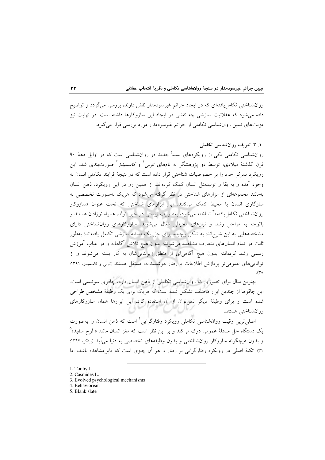روانشناختی تکامل یافتهای که در ایجاد جرائم غیرسودمدار نقش دارند، بررسی می گردد و توضیح داده می شود که عقلانیت سازشی چه نقشی در ایجاد این سازوکارها داشته است. در نهایت نیز مزیتهای تبیین روانشناسی تکاملی از جرائم غیرسودمدار مورد بررسی قرار می گیرد.

# ۰. ۳. تعریف روان شناسی تکاملی

روانشناسی تکاملی یکی از رویکردهای نسبتاً جدید در روانشناسی است که در اوایل دههٔ ۹۰ قرن گذشتهٔ میلادی، توسط دو پژوهشگر به نامهای *توبی ٰ و کاسمیدز ٔ ص*ورتبندی شد. این رویکرد تمرکز خود را بر خصوصیات شناختی قرار داده است که در نتیجهٔ فرایند تکاملی انسان به وجود آمده و به بقا و تولیدمثل انسان کمک کردهاند. از همین رو در این رویکرد، ذهن انسان بهمانند مجموعهای از ابزارهای شناختی در نظر گرفته می شود که هریک بهصورت تخصصی به سازگاری انسان با محیط کمک میکنند. این ابزارهای شناختی که تحت عنوان «سازوکار روانشناختی تکامل یافته»<sup>۳</sup> شناخته میشود، بهصورت زیستی در حین تولد، همراه نوزادان هستند و باتوجه به مراحل رشد و نیازهای محیطی فعال می شوند. سازوکارهای روان شناختی دارای مشخصههایی به این شرحاند: به شکل پیچیده برای حل یک مسئلهٔ سازشی تکامل یافتهاند؛ بهطور ثابت در تمام انسانهای متعارف مشاهده میشوند؛ بدون هیچ تلاش آگاهانه و در غیاب آموزش رسمی رشد کردهاند؛ بدون هیچ آگاهیای از منطق زیربناییشان به کار بسته میشوند و از توانایی های عمومی تر پردازش اطلاعات یا رفتار هوشمندانه، مستقل هستند (توبی و کاسمیدز، ۱۳۹۱: .(۳ $\wedge$ 

بهترین مثال برای تصوری که روان شناسی تکاملی از ذهن انسان دارد، چاقوی سوئیسی است. این چاقوها از چندین ابزار مختلف تشکیل شده است که هریک برای یک وظیفهٔ مشخص طراحی شده است و برای وظیفهٔ دیگر نمی توان از آن استفاده کرد. این ابزارها همان سازوکارهای روانشناختى هستند.

اصلی ترین رقیب روانشناسی تکاملی رویکرد رفتارگرایی ٔ است که ذهن انسان را بهصورت یک دستگاه حل مسئلهٔ عمومی درک میکند و بر این نظر است که مغز انسان مانند « لوح سفید»<sup>۵</sup> و بدون هیچگونه سازوکار روانشناختی و بدون وظیفههای تخصصی به دنیا می آید (پینکر، ۱۳۹۴: ۳۱). تکیهٔ اصلی در رویکرد رفتارگرایی بر رفتار و هر آن چیزی است که قابل مشاهده باشد، اما

- 1. Tooby J.
- 2. Casmides L.
- 3. Evolved psychological mechanisms
- 4. Behaviorism
- 5. Blank slate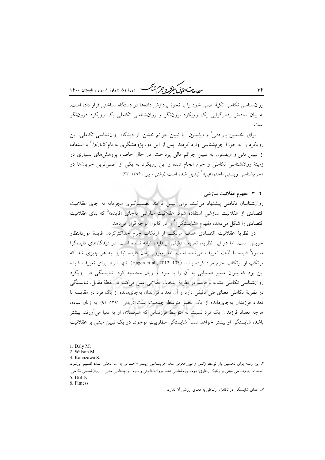ر ...<br>روال<del>ه من مقدّل گفتر و جرم شن</del>گ هنده ۵۱ شعارهٔ ۱۰ بهار و تابستان ۱۴۰۰

روانشناسی تکاملی تکیهٔ اصلی خود را بر نحوهٔ پردازش دادهها در دستگاه شناختی قرار داده است. به بیان سادهتر رفتارگرایی یک رویکرد بروننگر و روانشناسی تکاملی یک رویکرد دروننگر است.

برای نخستین بار *دلی' و ویلسون*<sup>۲</sup> با تبیین جرائم خشن، از دیدگاه روانشناسی تکاملی، این رویکرد را به حوزهٔ جرمشناسی وارد کردند. پس از این دو، پژوهشگری به نام *کانازاوا* ٔ با استفاده از تبیین *دلی و ویلسون* به تبیین جرائم مالی پرداخت. در حال حاضر، پژوهشهای بسیاری در زمینهٔ روانشناسی تکاملی و جرم انجام شده و این رویکرد به یکی از اصلی ترین جریانها در «جرم شناسبي زيستي-اجتماعي» تبديل شده است (والش و بيور، ۱۳۹۶: ۳۳).

٣۴

روانشناسان تکاملی پیشنهاد میکنند برای تبیین فرایند تصمیمگیری مجرمانه به جای عقلانیت اقتصادی از عقلانیت سازشی استفاده شود. عقلانیت سازش<sub>ی</sub> بهجای «فایده»<sup>۵</sup> که بنای عقلانیت اقتصادی را شکل میدهد، مفهوم «شایستگی» ٌ را در کانون توجه قرار میدهد.

در نظریهٔ عقلانیت اقتصادی هدف مرتکب از ارتکاب جرم حداکثرکردن فایدهٔ موردانتظار خویش است، اما در این نظریه، تعریف دقیقی از فایده ارائه نشده است. در دیدگاههای فایدهگرا معمولاً فایده با لذت تعریف می شده است. اما بهمرور زمان فایده تبدیل به هر چیزی شد که مرتكب از ارتكاب جرم مراد كرده باشد (Hagen et al., 2012: 103). تنها شرط براى تعريف فايده این بود که بتوان مسیر دستیابی به آن را با سود و زیان محاسبه کرد. شایستگی در رویکرد روانشناسی تکاملی مشابه با فایده در نظریهٔ انتخاب عقلانی عمل میکند. در نقطهٔ مقابل، شایستگی در نظریهٔ تکاملی معنای فنی دقیقی دارد و آن تعداد فرزندان بهجایمانده از یک فرد در مقایسه با تعداد فرزندان بهجای مانده از یک عضو متوسط جمعیت است (ریدلی، ۱۳۹۱: ۹۱). به زبان ساده، هرچه تعداد فرزندان یک فرد نسبت به متوسطِ فرزندانی که هم نسلان او به دنیا می آورند، بیشتر باشد، شایستگ<sub>ه،</sub> او بیشتر خواهد شد.<sup>۷</sup> شایستگی مطلوبیتِ موجود، در یک تبیین مبتنی بر عقلانیت

۰۷ معنای شایستگی در تکامل، ارتباطی به معنای ارزشی آن ندارد.

۲ . ۳ . مفهوم عقلانیت سازشی

<sup>1.</sup> Daly M.

<sup>2.</sup> Wilson M. 3. Kanazawa S.

۴. این رشته برای نخستین بار توسط *والش و بیور معرفی* شد. جرمشناسی زیستی-اجتماعی به سه بخش عمده تقسیم می شود: نخست، جرمشناسی مبتنی بر ژنتیک رفتاری؛ دوم، جرمشناسی عصب(وانشناختی و سوم، جرمشناسی مبتنی بر روانشناسی تکاملی. 5. Utility

<sup>6.</sup> Fitness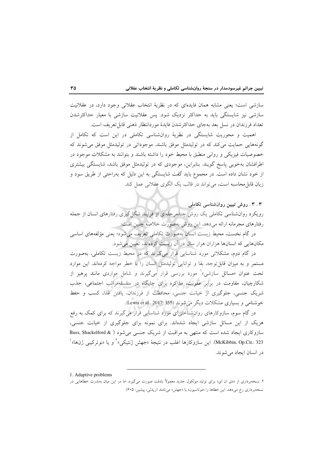سازشی است؛ یعنی مشابه همان فایدهای که در نظریهٔ انتخاب عقلانی وجود دارد، در عقلانیت سازشی نیز شایستگی باید به حداکثر نزدیک شود. پس عقلانیت سازشی با معیار حداکثرشدن تعداد فرزندان در نسل بعد بهجاي حداكثرشدن فايدهٔ موردانتظار ذهني قابل تعريف است.

اهمیت و محوریت شایستگی در نظریهٔ روانشناسی تکاملی در این است که تکامل از گونههایی حمایت میکند که در تولیدمثل موفق باشند. موجوداتی در تولیدمثل موفق میشوند که خصوصیات فیزیکی و روانی منطبق با محیط خود را داشته باشند و بتوانند به مشکلات موجود در اطرافشان بهخوبی پاسخ گویند. بنابراین، موجودی که در تولیدمثل موفق باشد، شایستگی بیشتری از خود نشان داده است. در مجموع باید گفت شایستگی به این دلیل که بهراحتی از طریق سود و زيان قابل محاسبه است، مي تواند در قالب يک الگوي عقلاني عمل کند.

۰۳ . ووش تبیین روان شناسی تکاملی رویکرد روانشناسی تکاملی یک روش چندمرحلهای از فرایند شکل گیری رفتارهای انسان از جمله رفتارهای مجرمانه ارائه می دهد. این روش بهصورت خلاصه چنین است:

در گام نخست، محیط زیست انسان بهصورت تکاملی تعریف می شود؛ یعنی مؤلفههای اساسی مکانهایی که انسانها هزاران هزار سال در آن زیست کردهاند، تعیین می شود.

در گام دوم، مشکلاتی مورد شناسایی قرار میگیرند که در محیط زیست تکاملی، بهصورت مستمر و به میزان قابل توجه، بقا و توانایی تولیدمثل انسان را با خطر مواجه کردهاند. این موارد تحت عنوان «مسائل سازشی»<sup>۱</sup> مورد بررسی قرار <mark>میگیرند و شامل مواردی مانند پرهیز از</mark> شکارچیان، مقاومت در برابر عفونت، مذاکره برای جایگاه در سلسلهمراتب اجتماعی، جذب شریک جنسی، جلوگیری از خیانت جنسی، محافظت از فرزندان، یافتن غذا، کسب و حفظ خوشنامی و بسیاری مشکلات دیگر می شوند (Lewis et al., 2017: 355).

در گام سوم، سازوکارهای روانشناختی|ی مورد شناسایی قرار میگیرند که برای کمک به رفع هریک از این مسائل سازشی ایجاد شدهاند. برای نمونه برای جلوگیری از خیانت جنسی، سازوکاری ایجاد شده است که منتهی به مراقبت از شریک جنسی می شود ( & Buss, Shackelford McKibbin, Op.Cit.: 323). اين سازوكارها اغلب در نتيجهٔ «جهش ژنتيكي» ٌ و يا «نوتركيبي ژنها» ْ در انسان ایجاد می شوند.

<sup>1.</sup> Adaptive problems

۲. نسخهبرداری از «دی ان ای» برای تولید مولکول جدید معمولاً بادقت صورت میگیرد، اما در این میان بهندرت خطاهایی در نسخهبرداري رخ مي دهد. اين خطاها را «موتاسيون» يا «جهش» مي نامند (ريدلي، پيشين: ٤٠٥).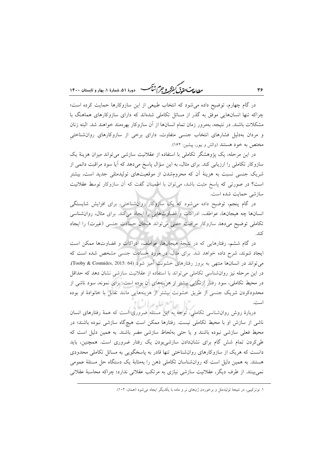ر ...<br>ر<u>طال</u>ه مستق<del>ل گفترگر و جرم شنگ هستاره این شهارهٔ ۱، بهار و تابستان ۱۴۰۰</del>

در گام چهارم، توضیح داده می شود که انتخاب طبیعی از این سازوکارها حمایت کرده است؛ چراکه تنها انسانهایی موفق به گذر از مسائل تکاملی شدهاند که دارای سازوکارهای هماهنگ با مشکلات باشند. در نتیجه، بهمرور زمان تمام انسانها از آن سازوکار بهرهمند خواهند شد. البته زنان و مردان بهدلیل فشارهای انتخاب جنسی متفاوت، دارای برخی از سازوکارهای روان شناختی مختص به خود هستند (والش و بیور، پیشین: ۱۶۲).

در این مرحله، یک پژوهشگر تکاملی با استفاده از عقلانیت سازشی میتواند میزان هزینهٔ یک سازوکار تکاملی را ارزیابی کند. برای مثال، به این سؤال پاسخ میدهد که آیا سود مراقبت دائمی از شریک جنسی نسبت به هزینهٔ آن که محرومشدن از موقعیتهای تولیدمثلی جدید است، بیشتر است؟ در صورتی که پاسخ مثبت باشد، میتوان با اطمینان گفت که آن سازوکار توسط عقلانیت سازشي حمايت شده است.

در گام پنجم، توضیح داده میشود که یک سازوکار روانشناختی، برای افزایش شایستگی انسانها چه هیجانها، عواطف، ادراکات و قضاوتهایی را ایجاد می کند. برای مثال، روانشناسی تکاملی توضیح میدهد سازوکار مراقبت جفتی می تواند هیجان حسادت جنسی (غیرت) را ایجاد كند.

در گام ششم، رفتارهایی که در نتیجهٔ هیجانها، عواطف، ادراکات و قضاوتها ممکن است ایجاد شوند، شرح داده خواهد شد. برای مثال، در مورد حسادت جنسی مشخص شده است که می تواند در انسانها منتهی به بروز رفتارهای خشونت آمیز شود (Tooby & Cosmides, 2015: 64). در این مرحله نیز روانشناسی تکاملی می تواند با استفاده از عقلانیت سازشی نشان دهد که حداقل در محیط تکاملی، سود رفتار ارتکابی بیشتر از هزینههای آن بوده است. برای نمونه، سود ناشی از محدودکردن شریک جنسی از طریق خشونت بیشتر از هزینههایی مانند تقابل با خانوادهٔ او بوده است. لعامع عليده السالا

دربارهٔ روش روانشناسی تکاملی، توجه به این مسئله ضروری است که همهٔ رفتارهای انسان ناشی از سازش او با محیط تکاملی نیست. رفتارها ممکن است هیچگاه سازشی نبوده باشند؛ در محیط فعلی سازشی نبوده باشند و یا حتی بهلحاظ سازشی مضر باشند. به همین دلیل است که طی کردن تمام شش گام برای نشاندادن سازشی بودن یک رفتار ضروری است. همچنین، باید دانست که هریک از سازوکارهای روان شناختی تنها قادر به پاسخگویی به مسائل تکاملی محدودی هستند. به همین دلیل است که روانشناسان تکاملی ذهن را بهمثابهٔ یک دستگاه حل مسئلهٔ عمومی نمی بینند. از طرف دیگر، عقلانیت سازشی نیازی به مرتکب عقلانی ندارد؛ چراکه محاسبهٔ عقلانی

٣۶

۱. نوترکیبی، در نتیجهٔ تولیدمثل و برخوردن ژنهای نر و ماده با یکدیگر ایجاد میشود (همان: ۱۰۲).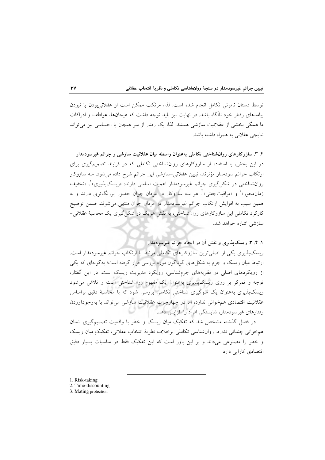توسط دستان نامرئي تكامل انجام شده است. لذا، مرتكب ممكن است از عقلاني بودن يا نبودن پیامدهای رفتار خود ناآگاه باشد. در نهایت نیز باید توجه داشت که هیجانها، عواطف و ادراکات ما همگی بخشی از عقلانیت سازشی هستند. لذا، یک رفتار از سر هیجان یا احساسی نیز می تواند نتايجي عقلاني به همراه داشته باشد.

۴. ۳. سازوکارهای روانشناختی تکاملی بهعنوان واسطه میان عقلانیت سازشی و جرائم غیرسودمدار در این بخش، با استفاده از سازوکارهای روانشناختی تکاملی که در فرایند تصمیمگیری برای ارتکاب جرائم سودمدار مؤثِّرند، تبیین عقلانی –سازشی این جرائم شرح داده می شود. سه سازوکار روانشناختی در شکل گیری جرائم غیرسودمدار اهمیت اساسی دارند: «ریسکیذیری» ، «تخفیف زمان.محور»<sup>۲</sup> و «مراقبتجفتی»<sup>۳</sup>. هر سه سازوکار در مردان جوان حضور پررنگتری دارند و به همین سبب به افزایش ارتکاب جرائم غیرسودمدار در مردان جوان منتهی میشوند. ضمن توضیح کارکرد تکاملی این سازوکارهای روانشناختی، به نقش هریک در شکل گیری یک محاسبهٔ عقلانی-سازشی اشاره خواهد شد.

۱. ۴. ۳. ریسکپذیری و نقش آن در ایجاد جرائم غیرسودمدار

ریسکپذیری یکی از اصلی ترین سازوکارهای تکاملی مرتبط با ارتکاب جرائم غیرسودمدار است. ارتباط میان ریسک و جرم به شکلهای گوناگون مورد بررسی قرار گرفته است؛ بهگونهای که یکی از رویکردهای اصلی در نظریههای جرمشناسی، رویکرد مدیریت ریسک است. در این گفتار، توجه و تمرکز بر روی ریسکپذیری بهعنوان یک مفهوم روانشناختی است و تلاش میشود ریسکپذیری بهعنوان یک سوگیری شناختی تکاملی بررسی شود که با محاسبهٔ دقیق براساس عقلانیت اقتصادی همخوانی ندارد، اما در چهارچوب عقلانیت سازشی می تواند با بهوجودآوردن رفتارهای غیرسودمدار، شایستگی افراد را افزایش دهد.

در فصل گذشته مشخص شد که تفکیک میان ریسک و خطر با واقعیت تصمیمگیری انسان همخواني چنداني ندارد. روانشناسي تكاملي برخلاف نظريهٔ انتخاب عقلاني، تفكيكِ ميان ريسك و خطر را مصنوعی میداند و بر این باور است که این تفکیک فقط در مناسبات بسیار دقیق اقتصادی کارایی دارد.

- 1. Risk-taking
- 2. Time-discounting
- 3. Mating protection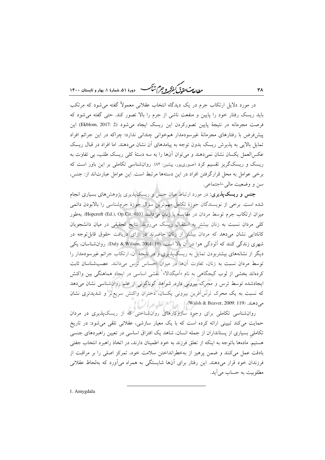ر ...<br>ر<u>طال</u>ه مستق<del>ل گفتگر و جرم شنگ می</del> دورهٔ ۵۱، شمارهٔ ۱، بهار و تابستان ۱۴۰۰

در مورد دلایل ارتکاب جرم در یک دیدگاه انتخاب عقلانی معمولاً گفته می شود که مرتکب باید ریسک رفتار خود را پایین و منفعت ناشی از جرم را بالا تصور کند. حتی گفته میشود که فرصت مجرمانه در نتيجة پايين تصوركردن اين ريسك ايجاد مي شود (Ekblom, 2017: 2) اين پیشفررض با رفتارهای مجرمانهٔ غیرسودمدار همخوانی چندانی ندارد؛ چراکه در این جرائم افراد تمایل بالایی به پذیرش ریسک بدون توجه به پیامدهای آن نشان میدهند. اما افراد در قبال ریسک عکسالعمل یکسان نشان نمی دهند و می توان آنها را به سه دستهٔ کلی ریسک طلب، بی تفاوت به ریسک و ریسکگریز تقسیم کرد (صبوریپور، پیشین: ۸۲). روان شناسی تکاملی بر این باور است که برخی عوامل به محل قرارگرفتن افراد در این دستهها مرتبط است. این عوامل عبارتاند از: جنس، سن و وضعیت مالی –اجتماعی.

٣٨

**جنس و ریسک پذیری**: در مورد ارتباط میان جنس و ریسک پذیری پژوهش های بسیاری انجام شده است. برخی از نویسندگان حوزهٔ تکامل مهمترین سؤال حوزهٔ جرمشناسی را بالابودن دائمی ميزان ارتكاب جرم توسط مردان در مقايسه با زنان مي دانند (Hopcroft (Ed.), Op.Cit.:410). بهطور کلی مردان نسبت به زنان بیشتر به استقبال ریسک می روند. نتایج تحقیقی در میان دانشجویان کانادایی نشان میدهد که مردان بیشتر از زنان حاضرند در ازای دریافت حقوق قابل توجه در شهري زندگي كنند كه آلودگي هوا در آن بالا است. (Daly & Wilson, 2001: 10). روانشناسان، يكي دیگر از نشانههای بیشتربودن تمایل به ریسکپذیری و در نتیجهٔ آن، ارتکاب جرائم غیرسودمدار را توسط مردان نسبت به زنان، تفاوت آنها در میزان احساس ترس میدانند. عصب شناسان ثابت کردهاند بخشی از لوب گیجگاهی به نام «اَمیگدالا» ٰ نقشی اساسی در ایجاد هماهنگی بین واکنش ایجادشده توسط ترس و محرک بیرونی دارد. شواهد گوناگونی از علم روان شناسی نشان میدهد که نسبت به یک محرک ترس]فرین بیرونی یکسان، دختران واکنش سریعتر و شدیدتری نشان میدهند. (Walsh & Beaver, 2009: 119). استرتباط السنا

روانشناسی تکاملی برای وجود سازوکارهای روانشناختی که از ریسکپذیری در مردان حمایت می کند تبیینی ارائه کرده است که با یک معیار سازشی، عقلانی تلقی می شود: در تاریخ تکاملی بسیاری از پستانداران از جمله انسان، شاهد یک افتراق اساسی در تعیین راهبردهای جنسی هستیم. مادهها باتوجه به اینکه از تعلق فرزند به خود اطمینان دارند، در اتخاذ راهبرد انتخاب جفتی بادقت عمل می کنند و ضمن پرهیز از بهخطرانداختن سلامت خود، تمرکز اصلی را بر مراقبت از فرزندان خود قرار می دهند. این رفتار برای آنها شایستگی به همراه می آورد که بهلحاظ عقلانی مطلوبيت به حساب مي آيد.

1. Amygdala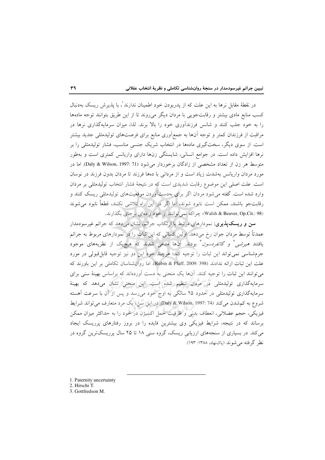در نقطهٔ مقابل نرها به این علت که از پدربودن خود اطمینان ندارند ٰ، با پذیرش ریسک بهدنبال کسب منابع مادی بیشتر و رقابتجویی با مردان دیگر می روند تا از این طریق بتوانند توجه مادهها را به خود جلب کنند و شانس فرزندآوری خود را بالا برند. لذا، میزان سرمایهگذاری نرها در مراقبت از فرزندان کمتر و توجه آنها به جمع|َوری منابع برای فرصتهای تولیدمثلی جدید بیشتر است. از سوی دیگر، سختگیری مادهها در انتخاب شریک جنسی مناسب، فشار تولیدمثلی را بر نرها افزایش داده است. در جوامع انسانی، شایستگی زنها دارای واریانس کمتری است و بهطور متوسط هر زن از تعداد مشخصی از زادگان برخوردار می شود (Daly & Wilson, 1997: 71). اما در مورد مردان واریانس بهشدت زیاد است و از مردانی با دهها فرزند تا مردان بدون فرزند در نوسان است. علت اصلی این موضوع رقابت شدیدی است که در نتیجهٔ فشار انتخاب تولیدمثلی بر مردان وارد شده است. گفته می شود مردان اگر برای بهدستآوردن موقعیتهای تولیدمثلی ریسک کنند و رقابت جو باشند، ممکن است نابود شوند، اما اگر در این راه تلاشی نکنند، قطعاً نابود می شوند (Walsh & Beaver, Op.Cit.: 98)؛ چراكه نمي توانند از خود زادهاي برجاي بگذارند.

**سن و ریسک پذیری**: نمودارهای مرتبط با ارتکاب جرائم، نشان میدهد که جرائم غیرسودمدار عمدتاً توسط مردان جوان رخ میٖدهد. اولین کسانی که این ثبات را در نمودارهای مربوط به جرائم یافتند *هیرشی<sup>۲</sup> و گاتفردسون* ّ بودند. آنها مدعی شدند که هیچیک از نظریههای موجود جرمشناسی نمی تواند این ثبات را توجیه کند؛ هرچند خود این دو نیز توجیه قابل قبولی در مورد علت این ثبات ارائه ندادند (Rubin & Pfaff, 2009: 398). اما روان شناسان تكاملی بر این باورند كه می توانند این ثبات را توجیه کنند. آنها یک منحنی به دست آوردهاند که براساس بهینهٔ سنی برای سرمایهگذاری تولیدمثلی در مردان تنظیم شده است. این منحنی نشان میدهد که بهینهٔ سرمایهگذاری تولیدمثلی در حدود ۲۵ سالگی به اوج خود میرسد و پس از آن با سرعت آهسته شروع به كم شدن مي كند (Daly & Wilson, 1997: 74). در اين سن، يك مرد متعارف مي تواند شرايط فیزیکی، حجم عضلانی، انعطاف بدنی و ظرفیت حمل اکسیژن در خود را به حداکثر میزان ممکن برساند که در نتیجه، شرایط فیزیکی وی بیشترین فایده را در بروز رفتارهای پرریسک ایجاد میکند. در بسیاری از سنجههای ارزیابی ریسک، گروه سنی ۱۸ تا ۲۵ سال پرریسکترین گروه در نظر گرفته می شوند (پاکنهاد، ۱۳۸۸: ۱۹۳).

1. Paternity uncertainty

3. Gottfredson M.

<sup>2.</sup> Hirschi T.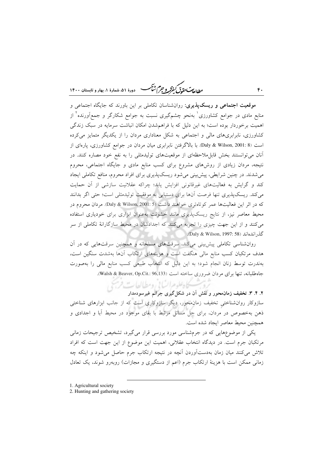ر ...<br>ر<u>طال</u>ه مستق<del>ل گفترگر و جرم شنگ هستاره این شهارهٔ ۱، بهار و تابستان ۱۴۰۰</del>

موقعیت اجتماعی و ریسک پذیری: روانشناسان تکامل<sub>ی</sub> بر این باورند که جایگاه اجتماعی و منابع مادی در جوامع کشاورزی<sup>٬</sup> بهنحو چشمگیری نسبت به جوامع شکارگر و جمعآورنده<sup>٬</sup> از اهمیت برخوردار بوده است؛ به این دلیل که با فراهمشدن امکان انباشت سرمایه در سبک زندگی کشاورزی، نابرابریهای مالی و اجتماعی به شکل معناداری مردان را از یکدیگر متمایز میکرده است (Daly & Wilson, 2001: 8). با بالاگرفتن نابرابری میان مردان در جوامع کشاورزی، پارهای از آنان می توانستند بخش قابل ملاحظهای از موقعیتهای تولیدمثلی را به نفع خود مصاره کنند. در نتیجه، مردان زیادی از روشهای مشروع برای کسب منابع مادی و جایگاه اجتماعی، محروم می شدند. در چنین شرایطی، پیش بینی می شود ریسک پذیری برای افراد محروم، منافع تکاملی ایجاد کند و گرایش به فعالیتهای غیرقانونی افزایش یابد؛ چراکه عقلانیت سازشی از آن حمایت میکند. ریسکپذیری تنها فرصت آنها برای دستیابی به موفقیت تولیدمثلی است؛ حتی اگر بدانند که در اثر این فعالیتها عمر کوتاهتری خواهند داشت (Daly & Wilson, 2001: 5). مردان محروم در محیط معاصر نیز، از نتایج ریسک،پذیری مانند خشونت بهعنوان ابزاری برای خودیاری استفاده میکنند و از این جهت چیزی را تجربه میکنند که اجدادشان در محیط سازگارانهٔ تکاملی از سر گذر اندهاند (Daly & Wilson, 1997: 58).

 $f$ .

روانشناسی تکاملی پیش بینی میکند، سرقتهای مسلحانه و همچنین سرقتهایی که در آن هدف مرتکبان کسب منابع مالی هنگفت است و هزینههای ارتکاب آنها بهشدت سنگین است، بهندرت توسط زنان انجام شود؛ به این دلیل که انتخاب طبیعی کسب منابع مالی را بهصورت جاه طلبانه، تنها برای مردان ضروری ساخته است (Walsh & Beaver, Op.Cit.: 96,133).

ت کاه علوم السانی ومطالعات فرسی ۲. ۴. ۳. تخفیف زمان محور و نقش آن در شکل گیری جرائم غیرسودمدار سازوکار روانشناختی تخفیف زمان محور، دیگر سازوکاری است که از جانب ابزارهای شناختی ذهن بهخصوص در مردان، برای حل مسائل مرتبط با بقای موجود در محیط آبا و اجدادی و همچنین محیط معاصر ایجاد شده است.

یکی از موضوعهایی که در جرمشناسی مورد بررسی قرار می گیرد، تشخیص ترجیحات زمانی مرتکبان جرم است. در دیدگاه انتخاب عقلانی، اهمیت این موضوع از این جهت است که افراد تلاش میکنند میان زمان بهدستآوردن آنچه در نتیجه ارتکاب جرم حاصل میشود و اینکه چه زمانی ممکن است با هزینهٔ ارتکاب جرم (اعم از دستگیری و مجازات) روبهرو شوند، یک تعادل

1. Agricultural society

<sup>2.</sup> Hunting and gathering society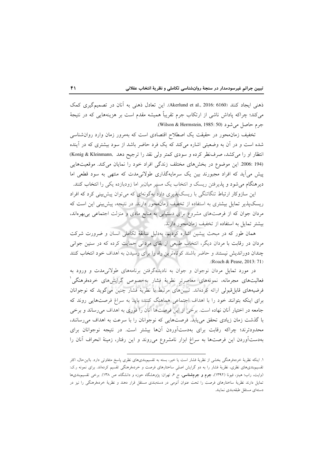ذهني ايجاد كنند (Akerlund et al., 2016: 6160). اين تعادل ذهني به آنان در تصميم گيري كمك میکند؛ چراکه پاداش ناشی از ارتکاب جرم تقریباً همیشه مقدم است بر هزینههایی که در نتیجهٔ جرم حاصل مي شود (Wilson & Herrnstein, 1985: 50).

تخفیف زمان محور در حقیقت یک اصطلاح اقتصادی است که بهمرور زمان وارد روان شناسی شده است و در آن به وضعیتی اشاره میکند که یک فرد حاضر باشد از سود بیشتری که در آینده انتظار او را می کشد، صرف نظر کرده و سودی کمتر ولی نقد را ترجیح دهد .Konig & Kleinmann) (194 :2006 این موضوع در بخشهای مختلف زندگی افراد خود را نمایان میکند. موقعیتهایی پیش می آید که افراد مجبورند بین یک سرمایهگذاری طولانیمدت که منتهی به سود قطعی اما دیرهنگام می شود و پذیرفتن ریسک و انتخاب یک مسیر میان بر اما زودبازده یکی را انتخاب کنند.

این سازوکار ارتباط تنگاتنگی با ریسک پذیری دارد بهگونهای که می توان پیش بینی کرد که افراد ریسک،پذیر تمایل بیشتری به استفاده از تخفیف زمان،محور دارند. در نتیجه، پیش بینی این است که مردان جوان که از فرصتهای مشروع برای دستیابی به منابع مادی و منزلت اجتماعی بیبهرهاند، بیشتر تمایل به استفاده از تخفیف زمان محور دارند.

همان طور که در مبحث پیشین اشاره کردیم، بهدلیل سابقهٔ تکاملی انسان و ضرورت شرکت مردان در رقابت با مردان دیگر، انتخاب طبیعی از بقای مردانی حمایت کرده که در سنین جوانی چندان دوراندیش نیستند و حاضر باشند کوتاهترین راه را برای رسیدن به اهداف خود انتخاب کنند .(Roach & Pease, 2013: 71)

در مورد تمایل مردان نوجوان و جوان به نادیدهگرفتن برنامههای طولانیمدت و ورود به فعالیتهای مجرمانه، نمونههای معاصرتر نظریهٔ فشار بهخصوص گرایشهای خردهفرهنگی ٰ فرضیههای قابل قبولی ارائه کردهاند. تبیینهای مرتبط با نظریهٔ فشار چنین می گوید که نوجوانان برای اینکه بتوانند خود را با اهداف اجتماعی هماهنگ کنند، باید به سراغ فرصتهایی روند که جامعه در اختیار آنان نهاده است. برخی از این فرصتها آنان را فوری به اهداف می رساند و برخی با گذشت زمان زیادی تحقق می پابد. فرصتهایی که نوجوانان را با سرعت به اهداف می رسانند، محدودترند؛ چراکه رقابت برای بهدستآوردن آنها بیشتر است. در نتیجه نوجوانان برای بهدستآوردن این فرصتها به سراغ ابزار نامشروع می روند و این رفتار، زمینهٔ انحراف آنان را

۱. اینکه نظریهٔ خردهفرهنگی بخشی از نظریهٔ فشار است یا خیر، بسته به تقسیمهندی۵ای نظری پاسخ متفاوتی دارد. بااینحال، اکثر .<br>تقسیم.بندیهای نظری، نظریهٔ فشار را به دو گرایش اصلی ساختارهای فرصت و خردهفرهنگی تقسیم کردهاند. برای نمونه ر.ک: (وایت، راب؛ هینز، فیونا (۱۳۹۲)، **جرم و جرمشناسی**، ج ۶، تهران: پژوهشگاه حوزه و دانشگاه، ص ۱۳۸). برخی تقسیمبندیها تمایل دارند نظریهٔ ساختارهای فرصت را تحت عنوان آنومی در دستهبندی مستقل قرار دهند و نظریهٔ خردهفرهنگی را نیز در دستهاى مستقل طبقهبندى نمايند.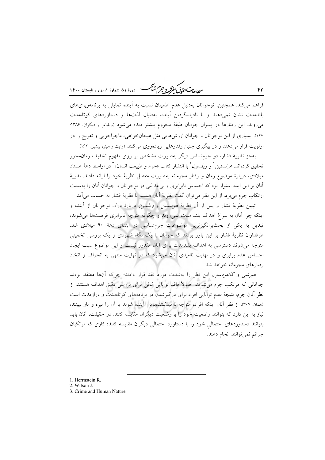يطابع ستقوق كنفركه وجرم شأكمسه - دورهٔ ۵۱، شمارهٔ ۱، بهار و تابستان ۱۴۰۰

فراهم می کند. همچنین، نوجوانان بهدلیل عدم اطمینان نسبت به آینده تمایلی به برنامهریزیهای بلندمدت نشان نمى دهند و با ناديدهگرفتن آينده، به دنبال لذتها و دستاوردهاى كوتاهمدت می روند. این رفتارها در پسران جوانان طبقهٔ محروم بیشتر دیده می شود (ویلیامز و دیگران، ۱۳۸۶: ۱۲۷). بسیاری از این نوجوانان و جوانان ارزشهایی مثل هیجانخواهی، ماجراجویی و تفریح را در اولویت قرار میدهند و در پیگیری چنین رفتارهایی زیادهروی می کنند (وایت و هینز، پیشین: ۱۶۲).

۴٢

بهجز نظریهٔ فشار، دو جرمشناس دیگر بهصورت مشخص بر روی مفهوم تخفیف زمان.حور تحقيق كردهاند. *هرنستين* <sup>(</sup> و *ويلسون* ْ با انتشار كتاب «جرم و طبيعت انسان» ْ در اواسط دههٔ هشتاد میلادی، دربارهٔ موضوع زمان و رفتار مجرمانه بهصورت مفصل نظریهٔ خود را ارائه دادند. نظریهٔ آنان بر این ایده استوار بود که احساس نابرابری و بی عدالتی در نوجوانان و جوانان آنان را بهسمت ارتکاب جرم میبرد. از این نظر میتوان گفت نظریهٔ آنان همسو با نظریهٔ فشار به حساب می آید.

تبیین نظریهٔ فشار و پس از آن نظریهٔ *هرنستین و ویلسون د*ربارهٔ درک نوجوانان از آینده و اینکه چرا آنان به سراغ اهداف بلند مدت نمی روند و چگونه متوجه نابرابری فرصتها می شوند. تبدیل به یکی از بحثبرانگیزترین موضوعات جرمشناسی در ابتدای دههٔ ۹۰ میلادی شد. طرفداران نظریهٔ فشار بر این باور بودند که جوانان با یک نگاه شهودی و یک بررسی تخمینی متوجه می شوند دسترسی به اهداف بلندمدت برای آنان مقدور نیست و این موضوع سبب ایجاد احساس عدم برابری و در نهایت ناامیدی آنان می شود که در نهایت منتهی به انحراف و اتخاذ رفتارهای مجرمانه خواهد شد.

هیرشی و گاتفردسون این نظر را بهشدت مورد نقد قرار دادند؛ چراکه آنها معتقد بودند جوانانی که مرتکب جرم می شوند، اصولاً فاقد توانایی کافی برای بررسی دقیق اهداف هستند. از نظر آنان جرم، نتیجهٔ عدم توانایی افراد برای درگیرشدن در برنامههای کوتاهمدت و درازمدت است (همان: ٣٠٧). از نظر آنان اينكه افراد، متوجه نااميدكنندهبودن آينده شوند يا آن را تيره و تار ببينند، نیاز به این دارد که بتوانند وضعیت خود را با وضعیت دیگران مقایسه کنند. در حقیقت، آنان باید بتوانند دستاوردهای احتمالی خود را با دستاورد احتمالی دیگران مقایسه کنند؛ کاری که مرتکبان جرائم نمي توانند انجام دهند.

- 1. Herrnstein R.
- 2. Wilson J.
- 3. Crime and Human Nature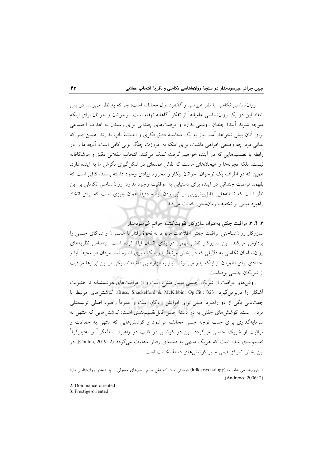روانشناسی تکاملی با نظر *هیرشی و گاتفردسون مخالف است؛ چراکه به نظر می رسد در پس* انتقاد این دو یک روانشناسی عامیانه<sup>۱</sup> از تفکر آگاهانه نهفته است. نوجوانان و جوانان برای اینکه متوجه شوند آیندهٔ چندان روشنی ندارد و فرصتهای چندانی برای رسیدن به اهداف اجتماعی برای آنان پیش نخواهد آمد، نیاز به یک محاسبهٔ دقیق فکری و اندیشهٔ ناب ندارند. همین قدر که ندانی فردا چه وضعی خواهی داشت، برای اینکه به امروزت چنگ بزنی کافی است. آنچه ما را در رابطه با تصمیمهایی که در آینده خواهیم گرفت کمک می کند، انتخاب عقلانی دقیق و موشکافانه نیست، بلکه تجربهها و هیجانهای ماست که نقش عمدهای در شکل گیری نگرش ما به آینده دارد. همین که در اطراف یک نوجوان، جوانان بیکار و محروم زیادی وجود داشته باشند، کافی است که بفهمد فرصت چندانی در آینده برای دستیابی به موفقیت وجود ندارد. روانشناسی تکاملی بر این نظر است که نشانههایی قابل پیش بینی از تیرهبودن آینده دقیقاً همان چیزی است که برای اتخاذ راهبرد مبتنی بر تخفیف زمان محور کفایت مرکند.

۴. ۴. ۳. مراقبت جفتی بهعنوان سازوکار تقویتکنندهٔ جرائم غیرسودمدار سازوكار روانشناختى مراقبت جفتى اطلاعات مربوط به نحوهٔ رفتار با همسران و شركاى جنسى را پردازش میکند. این سازوکار نقش مهمی در بقای انسان ایفا کرده است. براساس نظریههای روانشناسان تکاملی به دلایلی که در بخش مرتبط با ریسک،پذیری اشاره شد، مردان در محیط آبا و اجدادی برای اطمینان از اینکه پدر می شوند، نیاز به ابزارهایی داشتهاند. یکی از این ابزارها مراقبت از شريكان جنسى بودهاست.

روشهای مراقبت از شریک جنسی بسیار متنوع است و از مراقبتهای هوشمندانه تا خشونت آشکار را دربرمی گیرد (Buss, Shackelford & McKibbin, Op.Cit.: 323). کوشش های مرتبط با جفتیابی یکی از دو راهبرد اصلی برای افزایش زادگان است و عموماً راهبرد اصلی تولیدمثلی مردان است. کوششهای جفتی به دو دستهٔ اصلی قابل تقسیمبندی است: کوششهایی که منتهی به سرمایهگذاری برای جلب توجه جنس مخالف می شود و کوشش هایی که منتهی به حفاظت و مراقبت از شریک جنسی میگردد. این دو کوشش در قالب دو راهبرد سلطهگرا<sup>۲</sup> و اعتبارگرا<sup>۳</sup> تقسیم بندی شده است که هریک منتهی به دستهای رفتار متفاوت می گردد (Conlon, 2019: 2). در این بخش تمرکز اصلی ما بر کوشش های دستهٔ نخست است.

ا. «روان شناسی عامیانه» (folk psychology) دریافتی است که عقل سلیم انسانهای معمولی از پدیدههای روان شناسی دارد (Andrews, 2006: 2)

<sup>2.</sup> Dominance-oriented

<sup>3.</sup> Prestige-oriented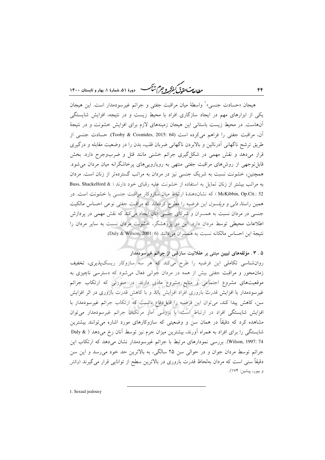ر ...<br>ر<u>طال</u>ه مستق<del>ل گفتگر و جرم شنگ می</del> دورهٔ ۵۱، شمارهٔ ۱، بهار و تابستان ۱۴۰۰

هيجان «حسادت جنسي» ْ واسطهٔ ميان مراقبت جفتي و جرائم غيرسودمدار است. اين هيجان یکی از ابزارهای مهم در ایجاد سازگاری افراد با محیط زیست و در نتیجه، افزایش شایستگی آنهاست. در محیط زیست باستانی این هیجان زمینههای لازم برای افزایش خشونت و در نتیجهٔ آن، مراقبت جفتی را فراهم می کرده است (Tooby & Cosmides, 2015: 64). حسادت جنسی از طریق ترشح ناگهانی ادرنالین و بالابردن ناگهانی ضربان قلب، بدن را در وضعیت مقابله و درگیری قرار میدهد و نقش مهمی در شکل گیری جرائم خشنی مانند قتل و ضربوجرح دارد. بخش قابل توجهی از روشهای مراقبت جفتی منتهی به رویاروییهای پرخاشگرانه میان مردان می شود. همچنین، خشونت نسبت به شریک جنسی نیز در مردان به مراتب گستردهتر از زنان است. مردان به مراتب بیشتر از زنان تمایل به استفاده از خشونت علیه رقبای خود دارند ( & Buss, Shackelford McKibbin, Op.Cit.: 32 ) كه نشاندهندهٔ ارتباط ميان سازوكار مراقبت جنسي با خشونت است. در همین راستا، *دلی و ویلسون* این فرضیه را مطرح کردهاند که مراقبت جفتی نوعی احساس مالکیت جنسی در مردان نسبت به همسران و شرکای جنسی آنان ایجاد میکند که نقش مهمی در پردازش اطلاعات محیطی توسط مردان دارد. این دو پژوهشگر، خشونت مردان نسبت به سایر مردان را نتيجة اين احساس مالكانه نسبت به همسران مي دانند (Daly & Wilson, 2001: 6).

۰. ۳. مؤلفههای تبیین مبتنی بر عقلانیت سازشی از جرائم غیرسودمدار

روانشناسی تکاملی این فرضیه را طرح میکند که هر سه سازوکار ریسکپذیری، تخفیف زمان.محور و مراقبت جفتی بیش از همه در مردان جوانی فعال میشود که دسترسی ناچیزی به موقعیتهای مشروع اجتماعی و منابع مشروع مادی دارند. در صورتی که ارتکاب جرائم غیرسودمدار با افزایش قدرت باروری افراد افزایش یابد و با کاهش قدرت باروری در اثر افزایش سن، کاهش پیدا کند، میتوان این فرضیه را قابل دفاع دانست که ارتکاب جرائم غیرسودمدار با افزایش شایستگی افراد در ارتباط است. با بررسی آمار مرتکبان جرائم غیرسودمدار می توان مشاهده کرد که دقیقاً در همان سن و وضعیتی که سازوکارهای مورد اشاره میتوانند بیشترین شایستگی را برای افراد به همراه آورند، بیشترین میزان جرم نیز توسط آنان رخ میدهد ( & Daly Wilson, 1997: 74). بررسی نمودارهای مرتبط با جرائم غیرسودمدار نشان میدهد که ارتکاب این جرائم توسط مردان جوان و در حوالي سن ۲۵ سالگي، به بالاترين حد خود مي رسد و اين سن دقیقاً سنی است که مردان بهلحاظ قدرت باروری در بالاترین سطح از توانایی قرار می گیرند (والش و بيور، پيشين: ۱۷۴).

1. Sexual jealousy

 $f f$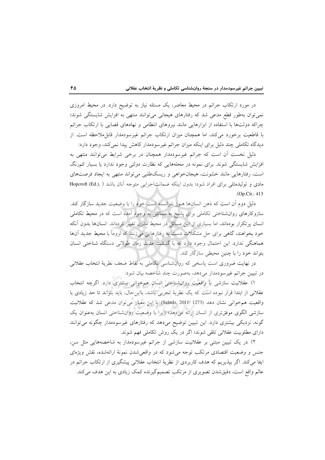در مورد ارتکاب جرائم در محیط معاصر، یک مسئله نیاز به توضیح دارد. در محیط امروزی نمی توان بهطور قطع مدعی شد که رفتارهای هیجانی می توانند منتهی به افزایش شایستگی شوند؛ چراکه دولتها با استفاده از ابزارهایی مانند نیروهای انتظامی و نهادهای قضایی با ارتکاب جرائم با قاطعیت برخورد میکند، اما همچنان میزان ارتکاب جرائم غیرسودمدار قابل.ملاحظه است. از دیدگاه تکاملی چند دلیل برای اینکه میزان جرائم غیرسودمدار کاهش پیدا نمیکند، وجود دارد:

دلیل نخست آن است که جرائم غیرسودمدار همچنان در برخی شرایط می توانند منتهی به افزایش شایستگی شوند. برای نمونه در محلههایی که نظارت دولتی وجود ندارد یا بسیار کمرنگ است، رفتارهایی مانند خشونت، هیجانخواهی و ریسکطلبی میتواند منتهی به ایجاد فرصتهای مادي و توليدمثلي براي افراد شود؛ بدون اينكه ضمانتاجرايي متوجه آنان باشد ( Hopcroft (Ed.), )  $(Op.Cit.: 413)$ 

دلیل دوم آن است که ذهن انسانها هنوز نتوانسته است خود را با وضعیت جدید سازگار کند. سازوکارهای روانشناختی تکاملی برای پاسخ به مسائلی به وجود آمده است که در محیط تکاملی انسان پرتکرار بودهاند، اما بسیاری از این مسائل در محیط مدرن تغییر کردهاند. انسانها بدون آنکه خود بخواهند، گاهی برای حل مشکلات دست به رفتارهایی میزنند که لزوماً با محیط جدید آنها هماهنگی ندارد. این احتمال وجود دارد که با گذشت مدت زمان طولانی دستگاه شناختی انسان بتواند خود را با چنین محیطی سازگار کند.

در نهایت ضروری است پاسخی که روانشناسی تکاملی به نقاط ضعف نظریهٔ انتخاب عقلانی در تبيين جرائم غيرسودمدار مىدهد، بهصورت چند شاخصه بيان شود:

١) عقلانیت سازشی با واقعیت روان شناختی انسان همخوانی بیشتری دارد. اگرچه انتخاب عقلانی از ابتدا قرار نبوده است که یک نظریهٔ تجربی باشد، بااین حال، باید بتواند تا حد زیادی با واقعیت هم خوانی نشان دهد (Schulz, 2011: 1273). با این معیار می توان مدعی شد که عقلانیت سازشی الگوی موفقتری از انسان ارائه میدهد؛ زیرا با وضعیت روانشناختی انسان بهعنوان یک گونه، نزدیکی بیشتری دارد. این تبیین توضیح میدهد که رفتارهای غیرسودمدار چگونه میتوانند دارای مطلوبیت عقلانی تلقی شوند؛ اگر در یک روش تکاملی فهم شوند.

۲) در یک تبیین مبتنی بر عقلانیت سازشی از جرائم غیرسودمدار به شاخصههایی مثل سن، جنس و وضعیت اقتصادی مرتکب توجه می شود که در واقعی شدن نمونهٔ ارائهشده، نقش ویژهای ایفا میکند. اگر بیذیریم که هدف کاربردی از نظریهٔ انتخاب عقلانی پیشگیری از ارتکاب جرائم در عالم واقع است، دقیقشدن تصویری از مرتکب تصمیمگیرنده کمک زیادی به این هدف میکند.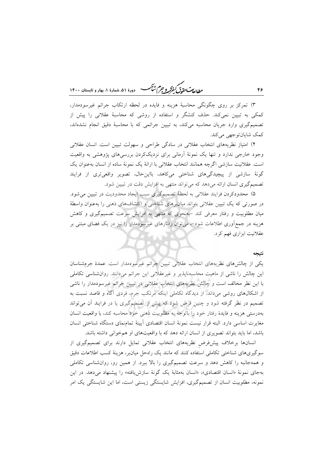ر الله من المسلم المسلم المسلم المسلم المسلم المسلم المسلم المسلم المسلم المسلم المسلم المسلم المسلم المسلم ال<br>مطال*عات حقاق كفوكر و جهم شنگ* 

۳) تمرکز بر روی چگونگی محاسبهٔ هزینه و فایده در لحظه ارتکاب جرائم غیرسودمدار، کمکی به تبیین نمیکند. حذف کنشگر و استفاده از روشی که محاسبهٔ عقلانی را پیش از تصمیمگیری وارد جریان محاسبه میکند، به تبیین جرائمی که با محاسبهٔ دقیق انجام نشدهاند، كمك شايانتوجهي مي كند.

۴) امتیاز نظریههای انتخاب عقلانی در سادگی طراحی و سهولت تبیین است. انسان عقلانی وجود خارجی ندارد و تنها یک نمونهٔ اَرمانی برای نزدیککردن بررسیهای پژوهشی به واقعیت است. عقلانیت سازشی اگرچه همانند انتخاب عقلانی با ارائهٔ یک نمونهٔ ساده از انسان به عنوان یک گونهٔ سازشی از پیچیدگیهای شناختی میکاهد، بااین حال، تصویر واقعیتری از فرایند تصمیم گیری انسان ارائه می دهد که می تواند منتهی به افزایش دقت در تبیین شود.

۵) محدودکردن فرایند عقلانی به لحظهٔ تصمیمگیری سبب ایجاد محدودیت در تبیین می شود. در صورتی که یک تبیین عقلانی بتواند میان برهای شناختی و اکتشافهای ذهنی را بهعنوان واسطهٔ میان مطلوبیت و رفتار معرفی کند -بهنحوی که منتهی به افزایش سرعت تصمیمگیری و کاهش هزینه در جمعآوری اطلاعات شود-، میتوان رفتارهای غیرسودمدار را نیز در یک فضای مبتنی بر عقلانیت ابزاری فهم کرد.

#### نتيجه

یکی از چالشهای نظریههای انتخاب عقلانی تبیین جرائم غیرسودمدار است. عمدهٔ جرمشناسان این چالش را ناشی از ماهیت محاسبهناپذیر و غیرعقلانی این جرائم میدانند. روانشناسی تکاملی با این نظر مخالف است و چالش نظریههای انتخاب عقلانی در تبیین جرائم غیرسودمدار را ناشی از اشکالهای روشی میداند. از دیدگاه تکاملی اینکه مرتکب جرم، فردی آگاه و قاصد نسبت به تصمیم در نظر گرفته شود و چنین فرض شود که پیش از تصمیمگیری یا در فرایند آن می تواند بهدرستی هزینه و فایدهٔ رفتار خود را باتوجه به مطلوبیت ذهنی خود محاسبه کند، با واقعیت انسان مغايرت اساسي دارد. البته قرار نيست نمونة انسان اقتصادي آيينة تمامنماي دستگاه شناختي انسان باشد، اما باید بتواند تصویری از انسان ارائه دهد که با واقعیتهای او هم خوانی داشته باشد.

انسانها برخلاف پیشفرض نظریههای انتخاب عقلانی تمایل دارند برای تصمیمگیری از سوگیریهای شناختی تکاملی استفاده کنند که مانند یک راهحل میانبر، هزینهٔ کسب اطلاعات دقیق و همهجانبه را کاهش دهد و سرعت تصمیمگیری را بالا ببرد. از همین رو، روانشناسی تکاملی بهجای نمونهٔ «انسان اقتصادی»، «انسان بهمثابهٔ یک گونهٔ سازش یافته» را پیشنهاد میدهد. در این نمونه، مطلوبیت انسان از تصمیمگیری، افزایش شایستگی زیستی است، اما این شایستگی یک امر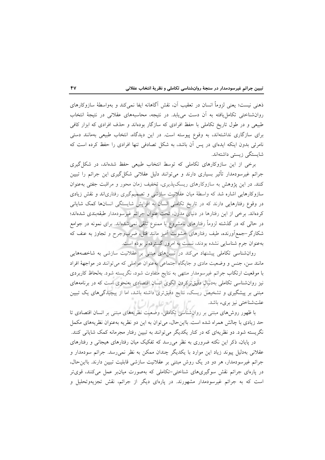ذهنی نیست؛ یعنی لزوماً انسان در تعقیب آن، نقش آگاهانه ایفا نمی کند و بهواسطهٔ سازوکارهای روانشناختی تکامل یافته به آن دست میbبابد. در نتیجه، محاسبههای عقلانی در نتیجهٔ انتخاب طبیعی و در طول تاریخ تکاملی با حفظ افرادی که سازگار بودهاند و حذف افرادی که ابزار کافی برای سازگاری نداشتهاند، به وقوع پیوسته است. در این دیدگاه، انتخاب طبیعی بهمانند دستی نامرئی بدون اینکه ایدهای در پس آن باشد، به شکل تصادفی تنها افرادی را حفظ کرده است که شاىستگى زىستى داشتەاند.

برخی از این سازوکارهای تکاملی که توسط انتخاب طبیعی حفظ شدهاند، در شکل گیری جرائم غیرسودمدار تأثیر بسیاری دارند و میتوانند دلیل عقلانی شکل گیری این جرائم را تبیین کنند. در این پژوهش به سازوکارهای ریسکپذیری، تخفیف زمان محور و مراقبت جفتی بهعنوان سازوکارهایی اشاره شد که واسطهٔ میان عقلانیت سازشی و تصمیمگیری رفتاریاند و نقش زیادی در وقوع رفتارهایی دارند که در تاریخ تکاملی انسان به افزایش شایستگی انسانها کمک شایانی کردهاند. برخی از این رفتارها در دنیای مدرن، تحت عنوان جرائم غیرسودمدار طبقهبندی شدهاند؛ در حالی که در گذشته لزوماً رفتارهای نامشروع یا ممنوع تلقی نمیشدااند. برای نمونه در جوامع شکارگر –جمع آورنده، طیف رفتارهای خشونت آمیز مانند قتل، ضربوجرح و تجاوز به عنف که بهعنوان جرم شناسایی نشده بودند، نسبت به امروز گستردهتر بوده است.

روانشناسی تکاملی پیشنهاد میکند در تبیینهای مبتنی بر عقلانیت سازشی به شاخصههایی مانند سن، جنس و وضعیت مادی و جایگاه اجتماعی بهعنوان عواملی که میتوانند در مواجههٔ افراد با موقعیت ارتکاب جرائم غیرسومدار منتهی به نتایج متفاوت شود، نگریسته شود. بهلحاظ کاربردی نیز روان شناسی تکاملی بهدنبال دقیق ترکردن الگوی انسان اقتصادی بهنحوی است که در برنامههای مبتنی بر پیشگیری و تشخیص ریسک، نتایج دقیقتری داشته باشد، اما از پیچیدگیهای یک تبیین ر"ال حامع علوم الر علتشناختي نيز بريء باشد.

با ظهور روشهای مبتنی بر روانشناسی تکاملی، وضعیت نظریههای مبتنی بر انسان اقتصادی تا حد زیادی با چالش همراه شده است. بااین حال، می توان به این دو نظریه بهعنوان نظریههای مکمل نگریسته شود. دو نظریهای که در کنار یکدیگر می توانند به تبیین رفتار مجرمانه کمک شایانی کنند.

در پایان، ذکر این نکته ضروری به نظر می رسد که تفکیک میان رفتارهای هیجانی و رفتارهای عقلانی بهدلیل پیوند زیاد این موارد با یکدیگر چندان ممکن به نظر نمیرسد. جرائم سودمدار و جرائم غیرسودمدار، هر دو در یک روش مبتنی بر عقلانیت سازشی قابلیت تبیین دارند. بااین حال، در پارهای جرائم نقش سوگیریهای شناختی-تکاملی که بهصورت میانبر عمل میکنند، قویتر است که به جرائم غیرسودمدار مشهورند. در پارهای دیگر از جرائم، نقش تجزیهوتحلیل و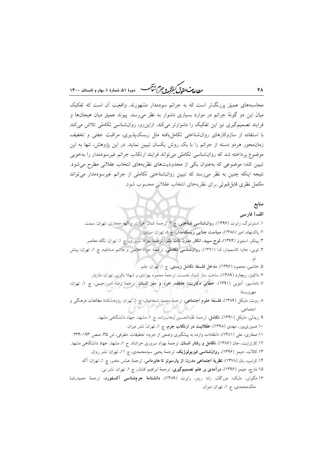مطال<del>یات حقیق کفرکر و جرم کشنگ ه</del> دورهٔ ۵۱ شمارهٔ ۱، بهار و تابستان ۱۴۰۰

محاسبههای عمیق پررنگتر است که به جرائم سودمدار مشهورند. واقعیت آن است که تفکیک میان این دو گونهٔ جرائم در موارد بسیاری دشوار به نظر میرسد. پیوند عمیق میان هیجانها و فرایند تصمیمگیری نیز این تفکیک را دشوارتر میکند. ازاینرو، روانشناسی تکاملی تلاش میکند با استفاده از سازوكارهاى روان شناختى تكامل يافته مثل ريسك يذيرى، مراقبت جفتى و تخفيف زمان محور هردو دسته از جرائم را با یک روش یکسان تبیین نماید. در این پژوهش، تنها به این موضوع پرداخته شد که روانشناسی تکاملی می تواند فرایند ارتکاب جرائم غیرسودمدار را بهخوبی تبیین کند؛ موضوعی که بهعنوان یکی از محدودیتهای نظریههای انتخاب عقلانی مطرح می شود. نتیجه اینکه چنین به نظر میرسد که تبیین روانشناختی تکاملی از جرائم غیرسودمدار میتواند مكمل نظري قابل قبولي براي نظريههاي انتخاب عقلاني محسوب شود.

# منابع

الف) فارسى ۱. استرنبرگ، رابرت (۱۳۹۶)، **روانشناسی شناختی**، چ ۲، ترجمهٔ کمال خرازی و الهه حجازی، تهران: سمت. ۲. پاکنهاد، امیر (۱۳۸۸)، **سیاست جنایی ریسک،مدار**، چ ۱، تهران: میزان. ۳. پینکر، استیون (۱۳۹۴)، لوح سپید، انکار مدرن ذات بشر، ترجمهٔ بهزاد سروری، چ ۱، تهران: نگاه معاصر. ۴. توبی، جان؛ کاسمیدز، لدا (۱۳۹۱)، روانشناسی تکاملی، ترجمهٔ جواد حاتمی و هاشم صادقیه، چ ۱، تهران: بینش ۵. خاتمی، محمود (۱۳۹۶)، مدخل فلسفهٔ تکامل زیستی، چ ۱، تهران: علم. ۶. داکینز، ریچارد (۱۳۸۹)، ساعت ساز نابینا، نخست، ترجمهٔ محمود بهزادی و شهلا باقری، تهران: مازیار. ٧. داماسیو، آنتونی (١٣٩١)، <mark>خطای دکارت؛ عاطفه، خرد و مغز انسان</mark>، ترجمهٔ رضا امیررحیمی، چ ١، تهران: مهرويستا. ٨ روت، مايكل (١٣٨٩)، فلسفة علوم اجتماعي، ترجمة محمد شجاعيان، چ ١، تهران: پژوهشكدة مطالعات فرهنگي و اجتماعي. ۹. ریدلی، مایکل (۱۳۹۱)، تکامل، ترجمهٔ عبدالحسین وهابزاده، چ ۱، مشهد: جهاد دانشگاهی مشهد. ۱۰.صبوریپور، مهدی (۱۳۹۸)، **عقلانیت در ارتکاب جرم**، چ ۱، تهران: نشر میزان. ١١.صفاري، علي (١٣٨١)، «انتقادات وارده به پيشگيري وضعي از جرم»، تحقيقات حقوقي، ش ٣۵، صص ١٩٣-٢٣٣. ۱۲.کارترایت، جان (۱۳۸۷)، **تکامل و رفتار انسان**، ترجمهٔ بهزاد سروری خراشاد. ج ۱، مشهد: جهاد دانشگاهی مشهد. ۱۳.کالات، جیمز (۱۳۹۶)، **روانشناسی فیزیولوژیک**، ترجمهٔ یحیی سیدمحمدی، چ ۱۱، تهران: نشر روان. ۱۴.کرایب، یان (۱۳۷۸)، **نظریهٔ اجتماعی مدرن**: **از پارسونز تا هابرماس**، ترجمهٔ عباس مخبر، چ ۱، تهران: آگه. ۱۵.مارچ، جیمز (۱۳۹۶)، **درآمدی بر علم تصمیمگیری**، ترجمهٔ ابراهیم افشار، چ ۱، تهران: نشر نبی. ۱۶.مگوایر، مایک؛ مورگان، راد؛ رینر، رابرت (۱۳۸۹)، **دانشنامهٔ جرمشناسی آکسفورد**، ترجمهٔ حمیدرضا ملک محمدی، ج ۱، تهران: میزان.

۴٨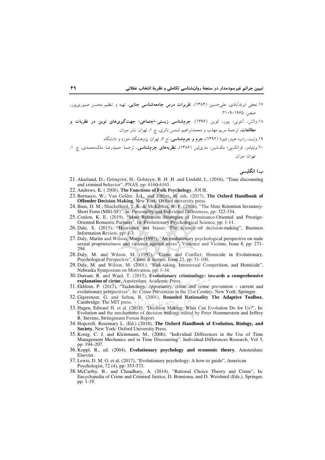- ۱۷.نجفی ابرندآبادی، عل<sub>م</sub>حسین (۱۳۸۴)، <mark>تقریرات درس جامعهشناسی جنایی</mark>، تهیه و تنظیم محسن صبوریپور، صص: ۱۹۶۵-۱۰۹.
- ۱۸.والش، اَنتونی؛ بیور، کوین (۱۳۹۶)، **جرمشناسی زیستی-اجتماعی؛ جهتگیریهای نوین در نظریات و** مطالعات، ترجمهٔ مریم مهذب و محمدابراهیم شمس ناتری، چ ۱، تهران: نشر میزان.

۲۰.ویلیامز، فرانک<sub>ابی</sub>؛ مکشین، ماری(لین (۱۳۸۶)، **نظریههای جرمشناسی**، ترجمهٔ حمیدرضا ملک0حمدی، چ ۱، تھ ان: مبزان.

ب) انگلسبی

- 21. Akerlund, D.: Gröngvist, H.: Golstevn, B.H., H. and Lindahl, L. (2016). "Time discounting and criminal behavior", PNAS, pp: 6160-6165.
- 22. Andrews, K. (2006), The Functions of Folk Psychology, JOUR.
- 23. Bernasco, W.; Van Gelder, J.-L. and Elffers, H. eds. (2017), The Oxford Handbook of **Offender Decision Making, New York: Oxford university press.**
- 24. Buss, D. M.; Shackelford, T. K. & McKibbin, W. F. (2008), "The Mate Retention Inventory-Short Form (MRI-SF)", in: Personality and Individual Differences, pp: 322-334.
- 25. Conlon, K. E. (2019), "Mate Retention Strategies of Dominance-Oriented and Prestige-Oriented Romantic Partners", In: Evolutionary Psychological Science, pp: 1-11.
- 26. Dale, S. (2015), "Heuristics and biases: The science of decision-making", Business Information Review, pp: 1-3.
- 27. Daly, Martin and Wilson, Margo (1995), "An evolutionary psychological perspective on male sexual proprietariness and violence against wives", Violence and Victims, Issue 8, pp: 271-294.
- 28. Daly, M. and Wilson, M. (1997), "Crime and Conflict: Homicide in Evolutionary. Psychological Perspective", Crime & Justice, Issue 22, pp: 51-100.
- 29. Daly, M. and Wilson, M. (2001), "Risk-taking, Intrasexual Competition, and Homicide", Nebraska Symposium on Motivation, pp: 1-34.
- 30. Durrant, R. and Ward, T. (2015), Evolutionary criminology: towards a comprehensive explanation of cirme, Amsterdam: Academic Press.
- 31. Ekblom, P. (2017), "Technology, opportunity, crime and crime prevention current and evolutionary perspectives", In: Crime Prevention in the 21st Century. New York: Springer.
- 32. Gigerenzer, G. and Selten, R. (2001), Bounded Rationality The Adaptive Toolbox, Cambridge: The MIT press.
- 33. Hagen, Edward H. et al. (2012), "Decision Making: What Can Evolution Do for Us?", In: Evolution and the mechanisms of decision making, edited by Peter Hammerstein and Jeffrey R. Stevens, Strüngmann Forum Report.
- 34. Hopcroft, Rosemary L. (Ed.) (2018), The Oxford Handbook of Evolution, Biology, and Society, New York: Oxford University Press.
- 35. Konig, C. J. and Kleinmann, M., (2006), "Individual Differences in the Use of Time Management Mechanics and in Time Discounting". Individual Differences Research, Vol 3, pp: 194-207.
- 36. Koppl, R., ed. (2004), Evolutionary psychology and economic theory, Amsterdam: Elsevier.
- 37. Lewis, D. M. G. et al. (2017), "Evolutionary psychology: A how-to guide", American Psychologist, 72 (4), pp: 353-373.
- 38. McCarthy, B., and Chaudhary, A. (2014), "Rational Choice Theory and Crime", In:<br>Encyclopedia of Crime and Criminal Justice, D. Brunisma, and D. Weisburd (Eds.), Springer, pp: 1-19.